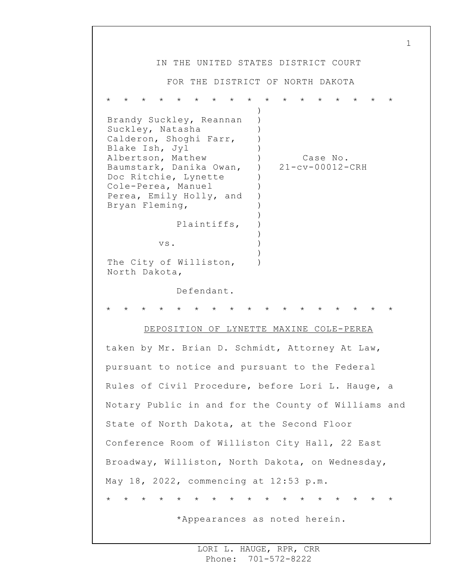1 IN THE UNITED STATES DISTRICT COURT FOR THE DISTRICT OF NORTH DAKOTA \* \* \* \* \* \* \* \* \* \* \* \* \* \* \* \* \* Brandy Suckley, Reannan Suckley, Natasha Calderon, Shoghi Farr, Blake Ish, Jyl Albertson, Mathew Baumstark, Danika Owan, Doc Ritchie, Lynette Cole-Perea, Manuel Perea, Emily Holly, and Bryan Fleming, Plaintiffs, vs. The City of Williston, North Dakota, Defendant. ) ) ) ) )  $)$  $\lambda$ ) ) ) ) ) ) ) ) ) ) Case No. 21-cv-00012-CRH \* \* \* \* \* \* \* \* \* \* \* \* \* \* \* \* \* DEPOSITION OF LYNETTE MAXINE COLE-PEREA taken by Mr. Brian D. Schmidt, Attorney At Law, pursuant to notice and pursuant to the Federal Rules of Civil Procedure, before Lori L. Hauge, a Notary Public in and for the County of Williams and State of North Dakota, at the Second Floor Conference Room of Williston City Hall, 22 East Broadway, Williston, North Dakota, on Wednesday, May 18, 2022, commencing at 12:53 p.m. \* \* \* \* \* \* \* \* \* \* \* \* \* \* \* \* \* \*Appearances as noted herein.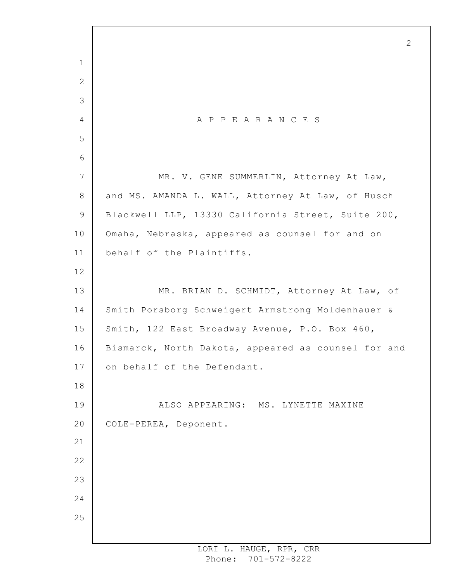A P P E A R A N C E S MR. V. GENE SUMMERLIN, Attorney At Law, and MS. AMANDA L. WALL, Attorney At Law, of Husch Blackwell LLP, 13330 California Street, Suite 200, Omaha, Nebraska, appeared as counsel for and on behalf of the Plaintiffs. MR. BRIAN D. SCHMIDT, Attorney At Law, of Smith Porsborg Schweigert Armstrong Moldenhauer & Smith, 122 East Broadway Avenue, P.O. Box 460, Bismarck, North Dakota, appeared as counsel for and on behalf of the Defendant. ALSO APPEARING: MS. LYNETTE MAXINE COLE-PEREA, Deponent.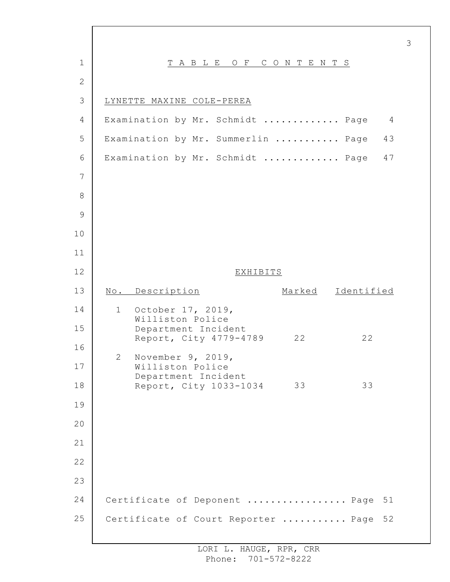| $\mathbf{1}$ | TABLE OF CONTENTS                                         |
|--------------|-----------------------------------------------------------|
| $\mathbf{2}$ |                                                           |
| 3            | LYNETTE MAXINE COLE-PEREA                                 |
| 4            | Examination by Mr. Schmidt  Page<br>$\overline{4}$        |
| 5            | Examination by Mr. Summerlin  Page<br>43                  |
| 6            | Examination by Mr. Schmidt  Page<br>47                    |
| 7            |                                                           |
| 8            |                                                           |
| 9            |                                                           |
| 10           |                                                           |
| 11           |                                                           |
| 12           | EXHIBITS                                                  |
| 13           | No. Description<br>Marked Identified                      |
| 14           | October 17, 2019,<br>1<br>Williston Police                |
| 15           | Department Incident<br>Report, City 4779-4789<br>22<br>22 |
| 16           | $\mathbf{2}^{\mathsf{I}}$<br>November 9, 2019,            |
| 17           | Williston Police<br>Department Incident                   |
| 18           | 33<br>33<br>Report, City 1033-1034                        |
| 19           |                                                           |
| 20           |                                                           |
| 21           |                                                           |
| 22           |                                                           |
| 23           |                                                           |
| 24           | Certificate of Deponent  Page<br>51                       |
| 25           | Certificate of Court Reporter  Page<br>52                 |
|              |                                                           |

 $\Gamma$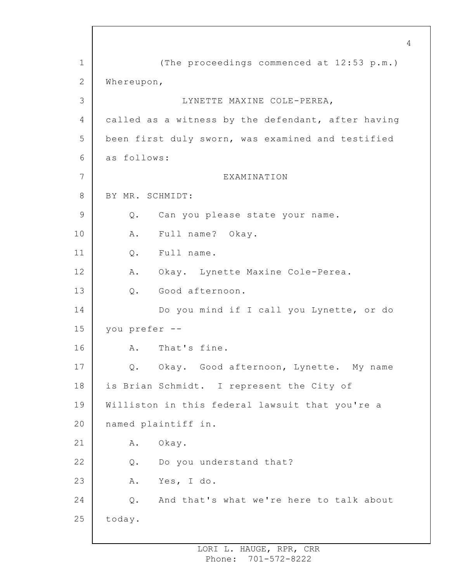1 2 3 4 5 6 7 8 9 10 11 12 13 14 15 16 17 18 19 20 21 22 23 24 25 (The proceedings commenced at 12:53 p.m.) Whereupon, LYNETTE MAXINE COLE-PEREA, called as a witness by the defendant, after having been first duly sworn, was examined and testified as follows: EXAMINATION BY MR. SCHMIDT: Q. Can you please state your name. A. Full name? Okay. Q. Full name. A. Okay. Lynette Maxine Cole-Perea. Q. Good afternoon. Do you mind if I call you Lynette, or do you prefer -- A. That's fine. Q. Okay. Good afternoon, Lynette. My name is Brian Schmidt. I represent the City of Williston in this federal lawsuit that you're a named plaintiff in. A. Okay. Q. Do you understand that? A. Yes, I do. Q. And that's what we're here to talk about today.

4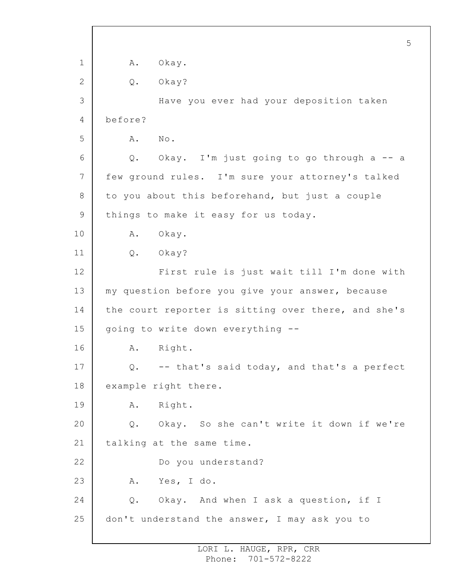1 2 3 4 5 6 7 8 9 10 11 12 13 14 15 16 17 18 19 20 21 22 23 24 25 5 A. Okay. Q. Okay? Have you ever had your deposition taken before? A. No. Q. Okay. I'm just going to go through a -- a few ground rules. I'm sure your attorney's talked to you about this beforehand, but just a couple things to make it easy for us today. A. Okay. Q. Okay? First rule is just wait till I'm done with my question before you give your answer, because the court reporter is sitting over there, and she's going to write down everything -- A. Right. Q. -- that's said today, and that's a perfect example right there. A. Right. Q. Okay. So she can't write it down if we're talking at the same time. Do you understand? A. Yes, I do. Q. Okay. And when I ask a question, if I don't understand the answer, I may ask you to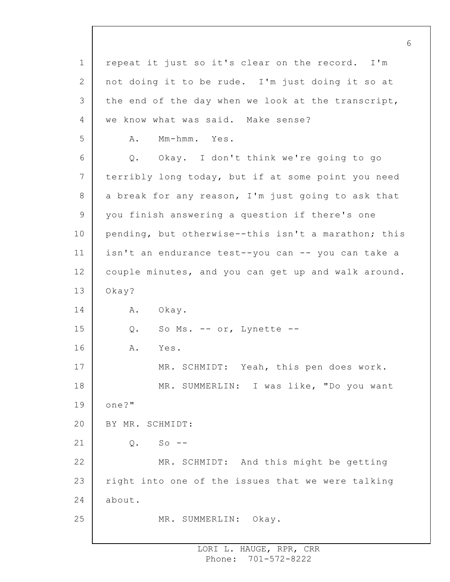1 2 3 4 5 6 7 8 9 10 11 12 13 14 15 16 17 18 19 20 21 22 23 24 25 6 repeat it just so it's clear on the record. I'm not doing it to be rude. I'm just doing it so at the end of the day when we look at the transcript, we know what was said. Make sense? A. Mm-hmm. Yes. Q. Okay. I don't think we're going to go terribly long today, but if at some point you need a break for any reason, I'm just going to ask that you finish answering a question if there's one pending, but otherwise--this isn't a marathon; this isn't an endurance test--you can -- you can take a couple minutes, and you can get up and walk around. Okay? A. Okay. Q. So Ms. -- or, Lynette -- A. Yes. MR. SCHMIDT: Yeah, this pen does work. MR. SUMMERLIN: I was like, "Do you want one?" BY MR. SCHMIDT:  $0.$  So  $-$ MR. SCHMIDT: And this might be getting right into one of the issues that we were talking about. MR. SUMMERLIN: Okay.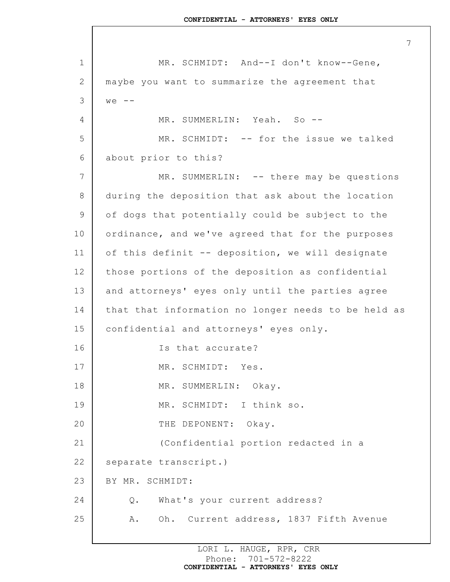1 2 3 4 5 6 7 8 9 10 11 12 13 14 15 16 17 18 19 20 21 22 23 24 25 MR. SCHMIDT: And--I don't know--Gene, maybe you want to summarize the agreement that  $we$   $-$ MR. SUMMERLIN: Yeah. So --MR. SCHMIDT: -- for the issue we talked about prior to this? MR. SUMMERLIN: -- there may be questions during the deposition that ask about the location of dogs that potentially could be subject to the ordinance, and we've agreed that for the purposes of this definit -- deposition, we will designate those portions of the deposition as confidential and attorneys' eyes only until the parties agree that that information no longer needs to be held as confidential and attorneys' eyes only. Is that accurate? MR. SCHMIDT: Yes. MR. SUMMERLIN: Okay. MR. SCHMIDT: I think so. THE DEPONENT: Okay. (Confidential portion redacted in a separate transcript.) BY MR. SCHMIDT: Q. What's your current address? A. Oh. Current address, 1837 Fifth Avenue

> LORI L. HAUGE, RPR, CRR Phone: 701-572-8222 **CONFIDENTIAL - ATTORNEYS' EYES ONLY**

7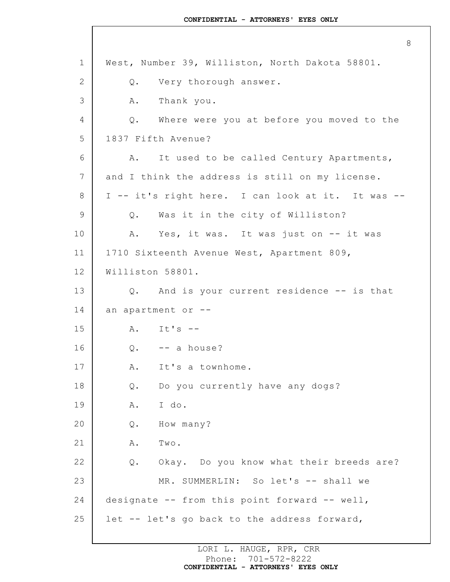1 2 3 4 5 6 7 8 9 10 11 12 13 14 15 16 17 18 19 20 21 22 23 24 25 8 West, Number 39, Williston, North Dakota 58801. Q. Very thorough answer. A. Thank you. Q. Where were you at before you moved to the 1837 Fifth Avenue? A. It used to be called Century Apartments, and I think the address is still on my license. I -- it's right here. I can look at it. It was -- Q. Was it in the city of Williston? A. Yes, it was. It was just on -- it was 1710 Sixteenth Avenue West, Apartment 809, Williston 58801. Q. And is your current residence -- is that an apartment or --  $A.$  It's  $Q.$  -- a house? A. It's a townhome. Q. Do you currently have any dogs? A. I do. Q. How many? A. Two. Q. Okay. Do you know what their breeds are? MR. SUMMERLIN: So let's -- shall we designate -- from this point forward -- well, let -- let's go back to the address forward,

> LORI L. HAUGE, RPR, CRR Phone: 701-572-8222 **CONFIDENTIAL - ATTORNEYS' EYES ONLY**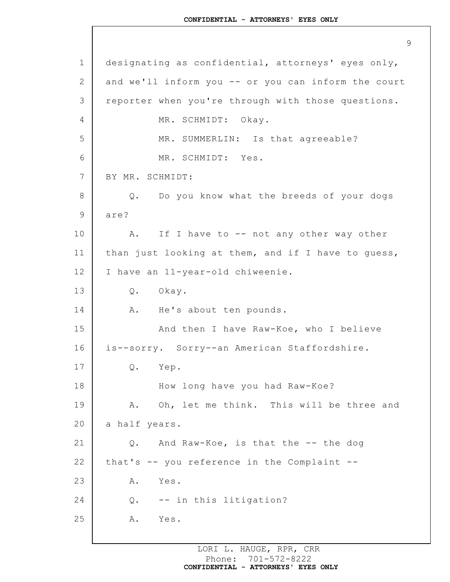1 2 3 4 5 6 7 8 9 10 11 12 13 14 15 16 17 18 19 20 21 22 23 24 25 9 designating as confidential, attorneys' eyes only, and we'll inform you -- or you can inform the court reporter when you're through with those questions. MR. SCHMIDT: Okay. MR. SUMMERLIN: Is that agreeable? MR. SCHMIDT: Yes. BY MR. SCHMIDT: Q. Do you know what the breeds of your dogs are? A. If I have to -- not any other way other than just looking at them, and if I have to guess, I have an 11-year-old chiweenie. Q. Okay. A. He's about ten pounds. And then I have Raw-Koe, who I believe is--sorry. Sorry--an American Staffordshire. Q. Yep. How long have you had Raw-Koe? A. Oh, let me think. This will be three and a half years. Q. And Raw-Koe, is that the -- the dog that's -- you reference in the Complaint -- A. Yes. Q. -- in this litigation? A. Yes.

> LORI L. HAUGE, RPR, CRR Phone: 701-572-8222 **CONFIDENTIAL - ATTORNEYS' EYES ONLY**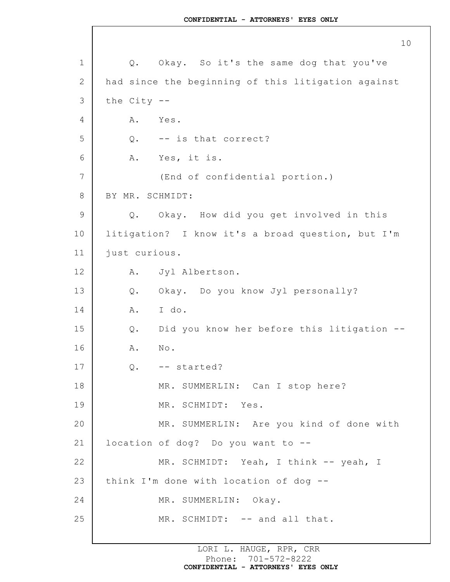1 2 3 4 5 6 7 8 9 10 11 12 13 14 15 16 17 18 19 20 21 22 23 24 25 Q. Okay. So it's the same dog that you've had since the beginning of this litigation against the City -- A. Yes. Q. -- is that correct? A. Yes, it is. (End of confidential portion.) BY MR. SCHMIDT: Q. Okay. How did you get involved in this litigation? I know it's a broad question, but I'm just curious. A. Jyl Albertson. Q. Okay. Do you know Jyl personally? A. I do. Q. Did you know her before this litigation -- A. No. Q. -- started? MR. SUMMERLIN: Can I stop here? MR. SCHMIDT: Yes. MR. SUMMERLIN: Are you kind of done with location of dog? Do you want to -- MR. SCHMIDT: Yeah, I think -- yeah, I think I'm done with location of dog -- MR. SUMMERLIN: Okay. MR. SCHMIDT: -- and all that.

> LORI L. HAUGE, RPR, CRR Phone: 701-572-8222 **CONFIDENTIAL - ATTORNEYS' EYES ONLY**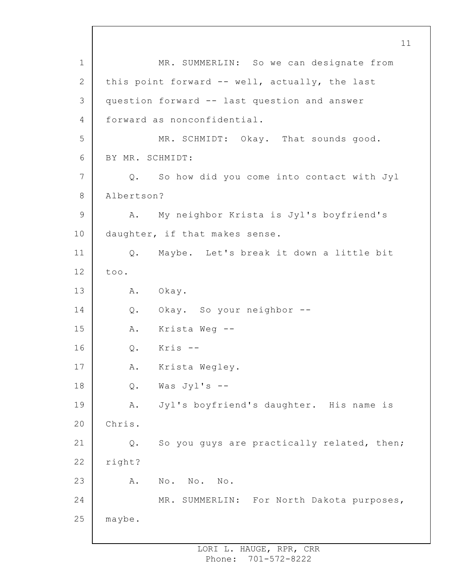1 2 3 4 5 6 7 8 9 10 11 12 13 14 15 16 17 18 19 20 21 22 23 24 25 MR. SUMMERLIN: So we can designate from this point forward -- well, actually, the last question forward -- last question and answer forward as nonconfidential. MR. SCHMIDT: Okay. That sounds good. BY MR. SCHMIDT: Q. So how did you come into contact with Jyl Albertson? A. My neighbor Krista is Jyl's boyfriend's daughter, if that makes sense. Q. Maybe. Let's break it down a little bit too. A. Okay. Q. Okay. So your neighbor -- A. Krista Weg -- Q. Kris -- A. Krista Wegley.  $Q.$  Was Jyl's  $--$ A. Jyl's boyfriend's daughter. His name is Chris. Q. So you guys are practically related, then; right? A. No. No. No. MR. SUMMERLIN: For North Dakota purposes, maybe.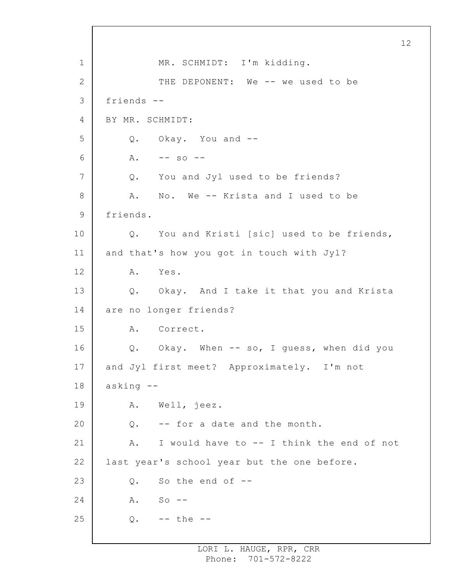1 2 3 4 5 6 7 8 9 10 11 12 13 14 15 16 17 18 19 20 21 22 23 24 25 MR. SCHMIDT: I'm kidding. THE DEPONENT: We -- we used to be friends -- BY MR. SCHMIDT: Q. Okay. You and --  $A. \t-- so --$ Q. You and Jyl used to be friends? A. No. We -- Krista and I used to be friends. Q. You and Kristi [sic] used to be friends, and that's how you got in touch with Jyl? A. Yes. Q. Okay. And I take it that you and Krista are no longer friends? A. Correct. Q. Okay. When -- so, I guess, when did you and Jyl first meet? Approximately. I'm not asking -- A. Well, jeez. Q. -- for a date and the month. A. I would have to -- I think the end of not last year's school year but the one before. Q. So the end of -- A. So --  $Q. - -$  the  $-$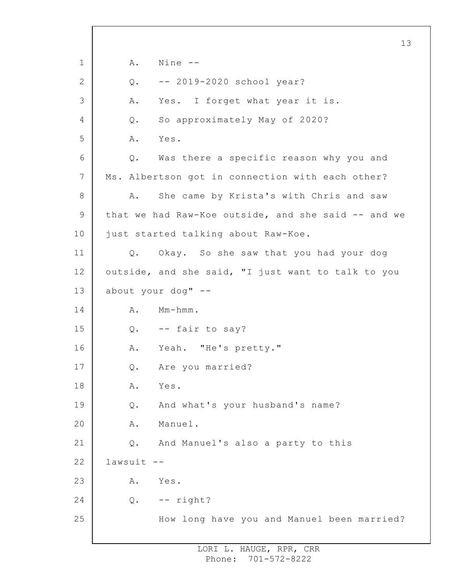1 2 3 4 5 6 7 8 9 10 11 12 13 14 15 16 17 18 19 20 21 22 23 24 25 13 A. Nine -- Q. -- 2019-2020 school year? A. Yes. I forget what year it is. Q. So approximately May of 2020? A. Yes. Q. Was there a specific reason why you and Ms. Albertson got in connection with each other? A. She came by Krista's with Chris and saw that we had Raw-Koe outside, and she said -- and we just started talking about Raw-Koe. Q. Okay. So she saw that you had your dog outside, and she said, "I just want to talk to you about your dog" -- A. Mm-hmm. Q. -- fair to say? A. Yeah. "He's pretty." Q. Are you married? A. Yes. Q. And what's your husband's name? A. Manuel. Q. And Manuel's also a party to this lawsuit -- A. Yes. Q. -- right? How long have you and Manuel been married?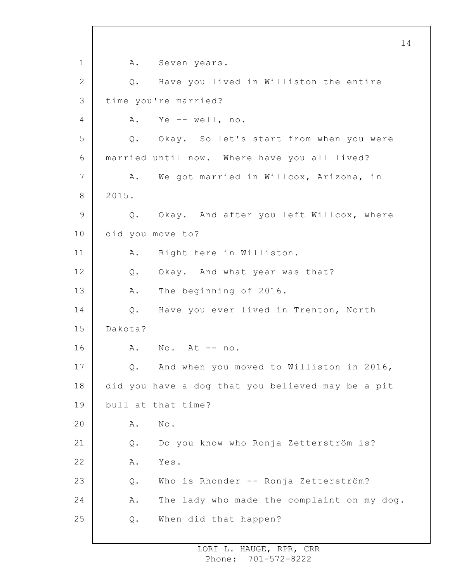1 2 3 4 5 6 7 8 9 10 11 12 13 14 15 16 17 18 19 20 21 22 23 24 25 A. Seven years. Q. Have you lived in Williston the entire time you're married? A. Ye -- well, no. Q. Okay. So let's start from when you were married until now. Where have you all lived? A. We got married in Willcox, Arizona, in 2015. Q. Okay. And after you left Willcox, where did you move to? A. Right here in Williston. Q. Okay. And what year was that? A. The beginning of 2016. Q. Have you ever lived in Trenton, North Dakota? A. No. At -- no. Q. And when you moved to Williston in 2016, did you have a dog that you believed may be a pit bull at that time? A. No. Q. Do you know who Ronja Zetterström is? A. Yes. Q. Who is Rhonder -- Ronja Zetterström? A. The lady who made the complaint on my dog. Q. When did that happen?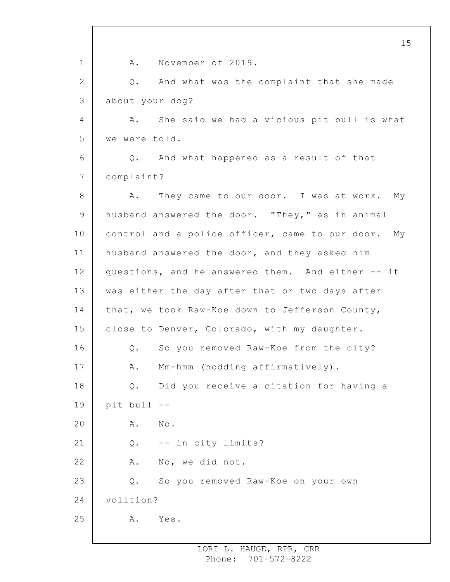1 2 3 4 5 6 7 8 9 10 11 12 13 14 15 16 17 18 19 20 21 22 23 24 25 A. November of 2019. Q. And what was the complaint that she made about your dog? A. She said we had a vicious pit bull is what we were told. Q. And what happened as a result of that complaint? A. They came to our door. I was at work. My husband answered the door. "They," as in animal control and a police officer, came to our door. My husband answered the door, and they asked him questions, and he answered them. And either -- it was either the day after that or two days after that, we took Raw-Koe down to Jefferson County, close to Denver, Colorado, with my daughter. Q. So you removed Raw-Koe from the city? A. Mm-hmm (nodding affirmatively). Q. Did you receive a citation for having a pit bull -- A. No. Q. -- in city limits? A. No, we did not. Q. So you removed Raw-Koe on your own volition? A. Yes.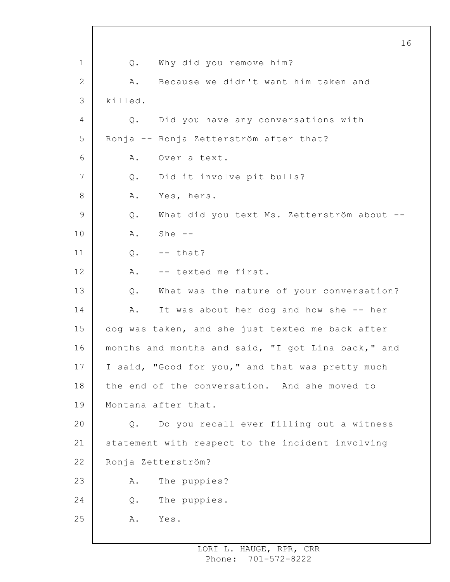1 2 3 4 5 6 7 8 9 10 11 12 13 14 15 16 17 18 19 20 21 22 23 24 25 Q. Why did you remove him? A. Because we didn't want him taken and killed. Q. Did you have any conversations with Ronja -- Ronja Zetterström after that? A. Over a text. Q. Did it involve pit bulls? A. Yes, hers. Q. What did you text Ms. Zetterström about -- A. She --  $0. - -$  that? A. -- texted me first. Q. What was the nature of your conversation? A. It was about her dog and how she -- her dog was taken, and she just texted me back after months and months and said, "I got Lina back," and I said, "Good for you," and that was pretty much the end of the conversation. And she moved to Montana after that. Q. Do you recall ever filling out a witness statement with respect to the incident involving Ronja Zetterström? A. The puppies? Q. The puppies. A. Yes.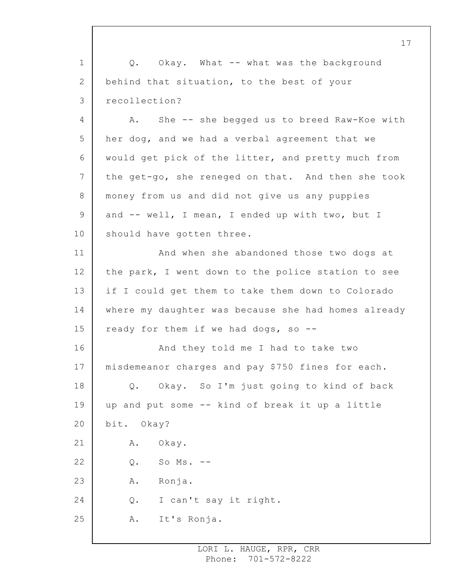1 2 3 Q. Okay. What -- what was the background behind that situation, to the best of your recollection?

4 5 6 7 8 9 10 A. She -- she begged us to breed Raw-Koe with her dog, and we had a verbal agreement that we would get pick of the litter, and pretty much from the get-go, she reneged on that. And then she took money from us and did not give us any puppies and -- well, I mean, I ended up with two, but I should have gotten three.

11 12 13 14 15 And when she abandoned those two dogs at the park, I went down to the police station to see if I could get them to take them down to Colorado where my daughter was because she had homes already ready for them if we had dogs, so --

16 17 18 19 20 21 22 23 24 25 And they told me I had to take two misdemeanor charges and pay \$750 fines for each. Q. Okay. So I'm just going to kind of back up and put some -- kind of break it up a little bit. Okay? A. Okay. Q. So Ms. -- A. Ronja. Q. I can't say it right. A. It's Ronja.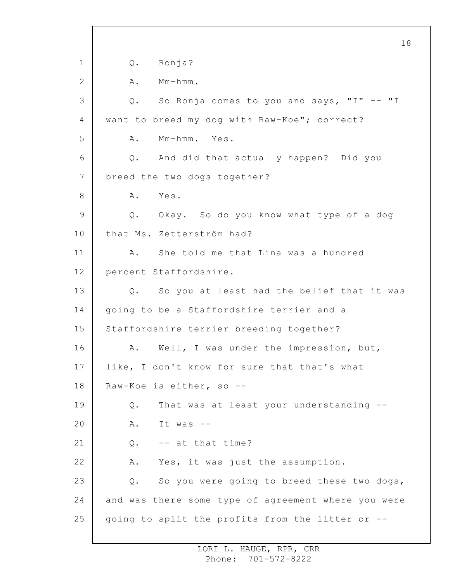1 2 3 4 5 6 7 8 9 10 11 12 13 14 15 16 17 18 19 20 21 22 23 24 25 18 Q. Ronja? A. Mm-hmm. Q. So Ronja comes to you and says, "I" -- "I want to breed my dog with Raw-Koe"; correct? A. Mm-hmm. Yes. Q. And did that actually happen? Did you breed the two dogs together? A. Yes. Q. Okay. So do you know what type of a dog that Ms. Zetterström had? A. She told me that Lina was a hundred percent Staffordshire. Q. So you at least had the belief that it was going to be a Staffordshire terrier and a Staffordshire terrier breeding together? A. Well, I was under the impression, but, like, I don't know for sure that that's what Raw-Koe is either, so -- Q. That was at least your understanding -- A. It was -- Q. -- at that time? A. Yes, it was just the assumption. Q. So you were going to breed these two dogs, and was there some type of agreement where you were going to split the profits from the litter or --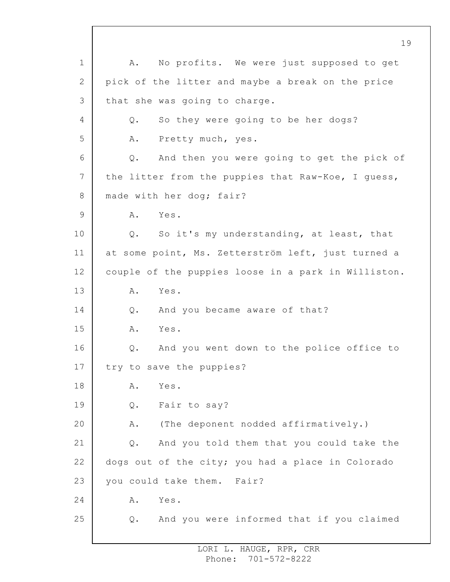1 2 3 4 5 6 7 8 9 10 11 12 13 14 15 16 17 18 19 20 21 22 23 24 25 A. No profits. We were just supposed to get pick of the litter and maybe a break on the price that she was going to charge. Q. So they were going to be her dogs? A. Pretty much, yes. Q. And then you were going to get the pick of the litter from the puppies that Raw-Koe, I guess, made with her dog; fair? A. Yes. Q. So it's my understanding, at least, that at some point, Ms. Zetterström left, just turned a couple of the puppies loose in a park in Williston. A. Yes. Q. And you became aware of that? A. Yes. Q. And you went down to the police office to try to save the puppies? A. Yes. Q. Fair to say? A. (The deponent nodded affirmatively.) Q. And you told them that you could take the dogs out of the city; you had a place in Colorado you could take them. Fair? A. Yes. Q. And you were informed that if you claimed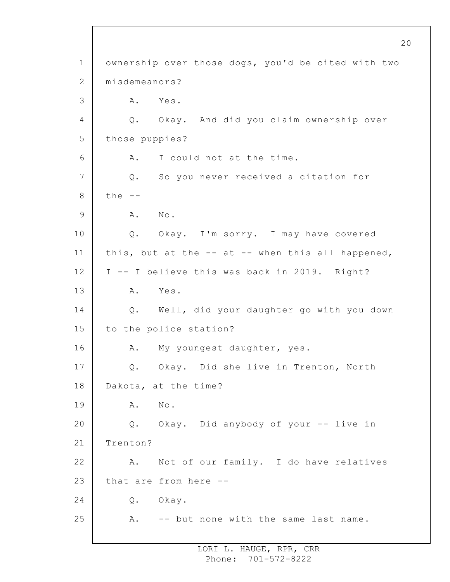1 2 3 4 5 6 7 8 9 10 11 12 13 14 15 16 17 18 19 20 21 22 23 24 25 ownership over those dogs, you'd be cited with two misdemeanors? A. Yes. Q. Okay. And did you claim ownership over those puppies? A. I could not at the time. Q. So you never received a citation for the  $--$ A. No. Q. Okay. I'm sorry. I may have covered this, but at the  $--$  at  $--$  when this all happened, I -- I believe this was back in 2019. Right? A. Yes. Q. Well, did your daughter go with you down to the police station? A. My youngest daughter, yes. Q. Okay. Did she live in Trenton, North Dakota, at the time? A. No. Q. Okay. Did anybody of your -- live in Trenton? A. Not of our family. I do have relatives that are from here -- Q. Okay. A. -- but none with the same last name.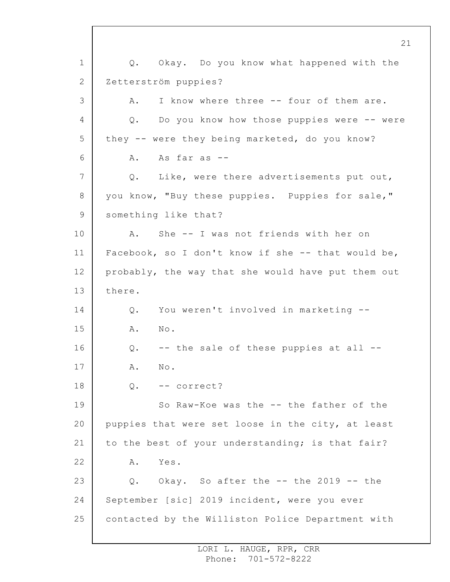1 2 3 4 5 6 7 8 9 10 11 12 13 14 15 16 17 18 19 20 21 22 23 24 25 Q. Okay. Do you know what happened with the Zetterström puppies? A. I know where three -- four of them are. Q. Do you know how those puppies were -- were they -- were they being marketed, do you know? A. As far as -- Q. Like, were there advertisements put out, you know, "Buy these puppies. Puppies for sale," something like that? A. She -- I was not friends with her on Facebook, so I don't know if she -- that would be, probably, the way that she would have put them out there. Q. You weren't involved in marketing -- A. No. Q. -- the sale of these puppies at all -- A. No. Q. -- correct? So Raw-Koe was the -- the father of the puppies that were set loose in the city, at least to the best of your understanding; is that fair? A. Yes. Q. Okay. So after the -- the 2019 -- the September [sic] 2019 incident, were you ever contacted by the Williston Police Department with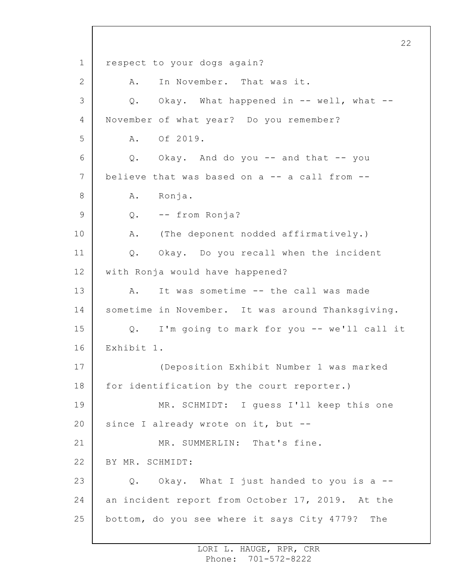1 2 3 4 5 6 7 8 9 10 11 12 13 14 15 16 17 18 19 20 21 22 23 24 25 22 respect to your dogs again? A. In November. That was it. Q. Okay. What happened in -- well, what -- November of what year? Do you remember? A. Of 2019. Q. Okay. And do you -- and that -- you believe that was based on a -- a call from -- A. Ronja. Q. -- from Ronja? A. (The deponent nodded affirmatively.) Q. Okay. Do you recall when the incident with Ronja would have happened? A. It was sometime -- the call was made sometime in November. It was around Thanksgiving. Q. I'm going to mark for you -- we'll call it Exhibit 1. (Deposition Exhibit Number 1 was marked for identification by the court reporter.) MR. SCHMIDT: I guess I'll keep this one since I already wrote on it, but --MR. SUMMERLIN: That's fine. BY MR. SCHMIDT: Q. Okay. What I just handed to you is a - an incident report from October 17, 2019. At the bottom, do you see where it says City 4779? The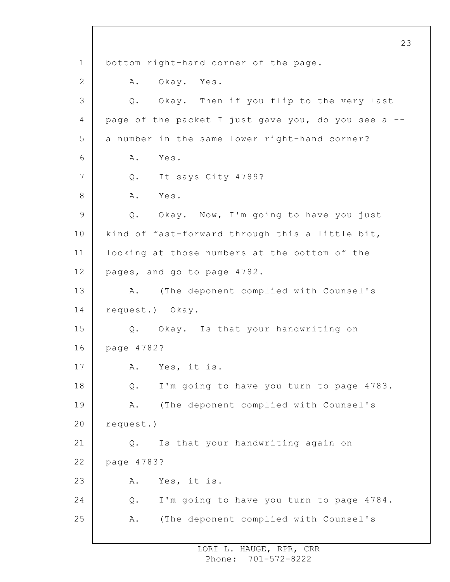1 2 3 4 5 6 7 8 9 10 11 12 13 14 15 16 17 18 19 20 21 22 23 24 25 23 bottom right-hand corner of the page. A. Okay. Yes. Q. Okay. Then if you flip to the very last page of the packet I just gave you, do you see a - a number in the same lower right-hand corner? A. Yes. Q. It says City 4789? A. Yes. Q. Okay. Now, I'm going to have you just kind of fast-forward through this a little bit, looking at those numbers at the bottom of the pages, and go to page 4782. A. (The deponent complied with Counsel's request.) Okay. Q. Okay. Is that your handwriting on page 4782? A. Yes, it is. Q. I'm going to have you turn to page 4783. A. (The deponent complied with Counsel's request.) Q. Is that your handwriting again on page 4783? A. Yes, it is. Q. I'm going to have you turn to page 4784. A. (The deponent complied with Counsel's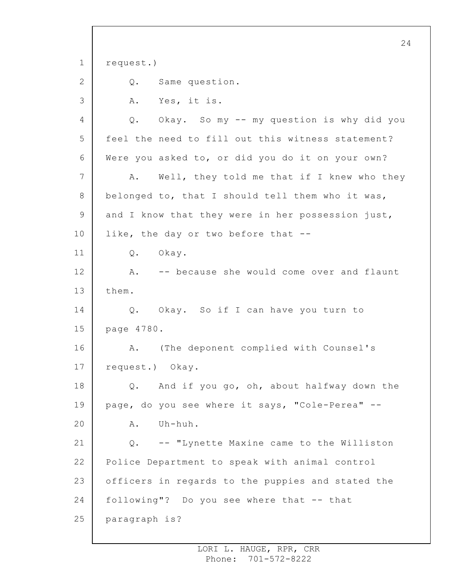1 2 3 4 5 6 7 8 9 10 11 12 13 14 15 16 17 18 19 20 21 22 23 24 25 24 request.) Q. Same question. A. Yes, it is. Q. Okay. So my -- my question is why did you feel the need to fill out this witness statement? Were you asked to, or did you do it on your own? A. Well, they told me that if I knew who they belonged to, that I should tell them who it was, and I know that they were in her possession just, like, the day or two before that -- Q. Okay. A. -- because she would come over and flaunt them. Q. Okay. So if I can have you turn to page 4780. A. (The deponent complied with Counsel's request.) Okay. Q. And if you go, oh, about halfway down the page, do you see where it says, "Cole-Perea" -- A. Uh-huh. Q. -- "Lynette Maxine came to the Williston Police Department to speak with animal control officers in regards to the puppies and stated the following"? Do you see where that -- that paragraph is?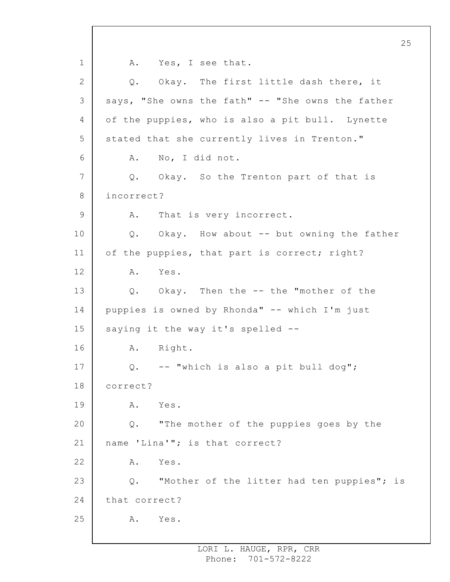1 2 3 4 5 6 7 8 9 10 11 12 13 14 15 16 17 18 19 20 21 22 23 24 25 25 A. Yes, I see that. Q. Okay. The first little dash there, it says, "She owns the fath" -- "She owns the father of the puppies, who is also a pit bull. Lynette stated that she currently lives in Trenton." A. No, I did not. Q. Okay. So the Trenton part of that is incorrect? A. That is very incorrect. Q. Okay. How about -- but owning the father of the puppies, that part is correct; right? A. Yes. Q. Okay. Then the -- the "mother of the puppies is owned by Rhonda" -- which I'm just saying it the way it's spelled --A. Right. Q. -- "which is also a pit bull dog"; correct? A. Yes. Q. "The mother of the puppies goes by the name 'Lina'"; is that correct? A. Yes. Q. "Mother of the litter had ten puppies"; is that correct? A. Yes.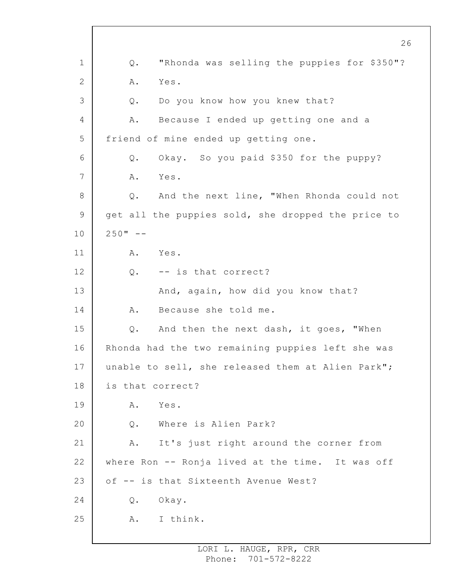1 2 3 4 5 6 7 8 9 10 11 12 13 14 15 16 17 18 19 20 21 22 23 24 25 Q. "Rhonda was selling the puppies for \$350"? A. Yes. Q. Do you know how you knew that? A. Because I ended up getting one and a friend of mine ended up getting one. Q. Okay. So you paid \$350 for the puppy? A. Yes. Q. And the next line, "When Rhonda could not get all the puppies sold, she dropped the price to  $250" - -$ A. Yes. Q. -- is that correct? And, again, how did you know that? A. Because she told me. Q. And then the next dash, it goes, "When Rhonda had the two remaining puppies left she was unable to sell, she released them at Alien Park"; is that correct? A. Yes. Q. Where is Alien Park? A. It's just right around the corner from where Ron -- Ronja lived at the time. It was off of -- is that Sixteenth Avenue West? Q. Okay. A. I think.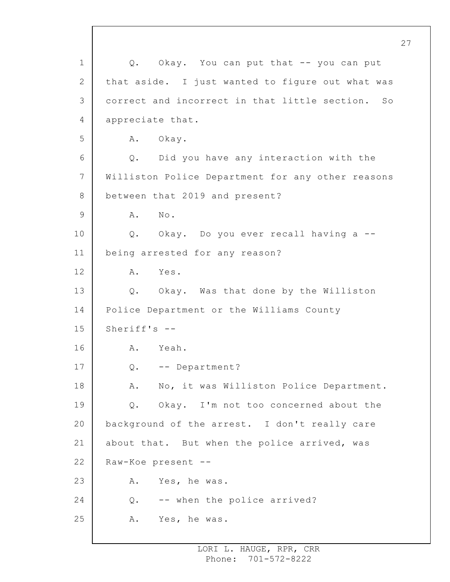1 2 3 4 5 6 7 8 9 10 11 12 13 14 15 16 17 18 19 20 21 22 23 24 25 Q. Okay. You can put that -- you can put that aside. I just wanted to figure out what was correct and incorrect in that little section. So appreciate that. A. Okay. Q. Did you have any interaction with the Williston Police Department for any other reasons between that 2019 and present? A. No. Q. Okay. Do you ever recall having a - being arrested for any reason? A. Yes. Q. Okay. Was that done by the Williston Police Department or the Williams County Sheriff's -- A. Yeah. Q. -- Department? A. No, it was Williston Police Department. Q. Okay. I'm not too concerned about the background of the arrest. I don't really care about that. But when the police arrived, was Raw-Koe present -- A. Yes, he was. Q. -- when the police arrived? A. Yes, he was.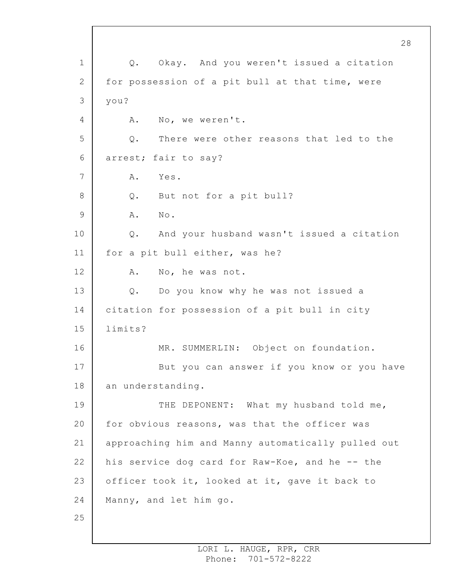1 2 3 4 5 6 7 8 9 10 11 12 13 14 15 16 17 18 19 20 21 22 23 24 25 28 Q. Okay. And you weren't issued a citation for possession of a pit bull at that time, were you? A. No, we weren't. Q. There were other reasons that led to the arrest; fair to say? A. Yes. Q. But not for a pit bull? A. No. Q. And your husband wasn't issued a citation for a pit bull either, was he? A. No, he was not. Q. Do you know why he was not issued a citation for possession of a pit bull in city limits? MR. SUMMERLIN: Object on foundation. But you can answer if you know or you have an understanding. THE DEPONENT: What my husband told me, for obvious reasons, was that the officer was approaching him and Manny automatically pulled out his service dog card for Raw-Koe, and he -- the officer took it, looked at it, gave it back to Manny, and let him go.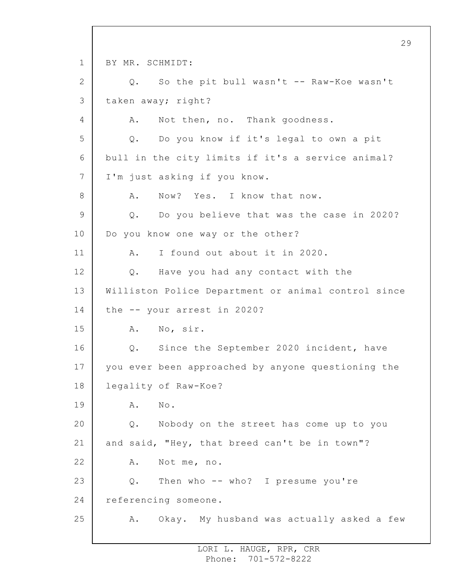1 2 3 4 5 6 7 8 9 10 11 12 13 14 15 16 17 18 19 20 21 22 23 24 25 29 BY MR. SCHMIDT: Q. So the pit bull wasn't -- Raw-Koe wasn't taken away; right? A. Not then, no. Thank goodness. Q. Do you know if it's legal to own a pit bull in the city limits if it's a service animal? I'm just asking if you know. A. Now? Yes. I know that now. Q. Do you believe that was the case in 2020? Do you know one way or the other? A. I found out about it in 2020. Q. Have you had any contact with the Williston Police Department or animal control since the -- your arrest in 2020? A. No, sir. Q. Since the September 2020 incident, have you ever been approached by anyone questioning the legality of Raw-Koe? A. No. Q. Nobody on the street has come up to you and said, "Hey, that breed can't be in town"? A. Not me, no. Q. Then who -- who? I presume you're referencing someone. A. Okay. My husband was actually asked a few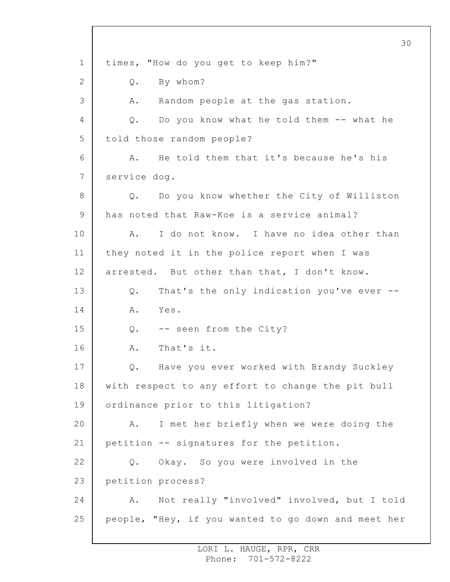1 2 3 4 5 6 7 8 9 10 11 12 13 14 15 16 17 18 19 20 21 22 23 24 25 times, "How do you get to keep him?" Q. By whom? A. Random people at the gas station. Q. Do you know what he told them -- what he told those random people? A. He told them that it's because he's his service dog. Q. Do you know whether the City of Williston has noted that Raw-Koe is a service animal? A. I do not know. I have no idea other than they noted it in the police report when I was arrested. But other than that, I don't know. Q. That's the only indication you've ever -- A. Yes. Q. -- seen from the City? A. That's it. Q. Have you ever worked with Brandy Suckley with respect to any effort to change the pit bull ordinance prior to this litigation? A. I met her briefly when we were doing the petition -- signatures for the petition. Q. Okay. So you were involved in the petition process? A. Not really "involved" involved, but I told people, "Hey, if you wanted to go down and meet her

> LORI L. HAUGE, RPR, CRR Phone: 701-572-8222

30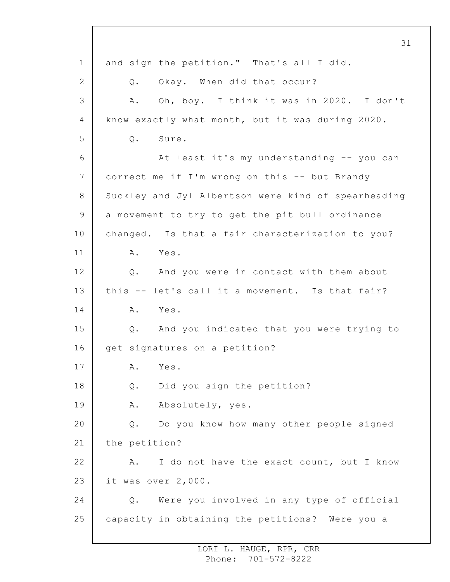1 2 3 4 5 6 7 8 9 10 11 12 13 14 15 16 17 18 19 20 21 22 23 24 25 and sign the petition." That's all I did. Q. Okay. When did that occur? A. Oh, boy. I think it was in 2020. I don't know exactly what month, but it was during 2020. Q. Sure. At least it's my understanding -- you can correct me if I'm wrong on this -- but Brandy Suckley and Jyl Albertson were kind of spearheading a movement to try to get the pit bull ordinance changed. Is that a fair characterization to you? A. Yes. Q. And you were in contact with them about this -- let's call it a movement. Is that fair? A. Yes. Q. And you indicated that you were trying to get signatures on a petition? A. Yes. Q. Did you sign the petition? A. Absolutely, yes. Q. Do you know how many other people signed the petition? A. I do not have the exact count, but I know it was over 2,000. Q. Were you involved in any type of official capacity in obtaining the petitions? Were you a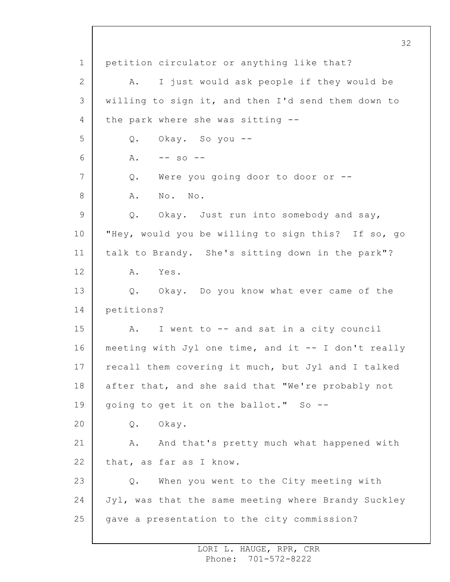1 2 3 4 5 6 7 8 9 10 11 12 13 14 15 16 17 18 19 20 21 22 23 24 25 32 petition circulator or anything like that? A. I just would ask people if they would be willing to sign it, and then I'd send them down to the park where she was sitting -- Q. Okay. So you --  $A. \t-- so --$ Q. Were you going door to door or -- A. No. No. Q. Okay. Just run into somebody and say, "Hey, would you be willing to sign this? If so, go talk to Brandy. She's sitting down in the park"? A. Yes. Q. Okay. Do you know what ever came of the petitions? A. I went to -- and sat in a city council meeting with Jyl one time, and it -- I don't really recall them covering it much, but Jyl and I talked after that, and she said that "We're probably not going to get it on the ballot." So -- Q. Okay. A. And that's pretty much what happened with that, as far as I know. Q. When you went to the City meeting with Jyl, was that the same meeting where Brandy Suckley gave a presentation to the city commission?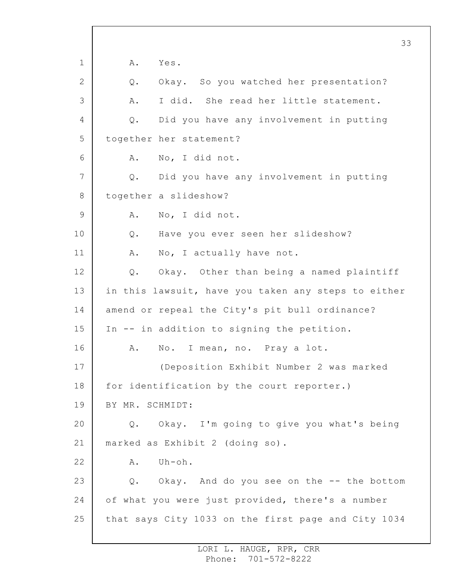1 2 3 4 5 6 7 8 9 10 11 12 13 14 15 16 17 18 19 20 21 22 23 24 25 A. Yes. Q. Okay. So you watched her presentation? A. I did. She read her little statement. Q. Did you have any involvement in putting together her statement? A. No, I did not. Q. Did you have any involvement in putting together a slideshow? A. No, I did not. Q. Have you ever seen her slideshow? A. No, I actually have not. Q. Okay. Other than being a named plaintiff in this lawsuit, have you taken any steps to either amend or repeal the City's pit bull ordinance? In -- in addition to signing the petition. A. No. I mean, no. Pray a lot. (Deposition Exhibit Number 2 was marked for identification by the court reporter.) BY MR. SCHMIDT: Q. Okay. I'm going to give you what's being marked as Exhibit 2 (doing so). A. Uh-oh. Q. Okay. And do you see on the -- the bottom of what you were just provided, there's a number that says City 1033 on the first page and City 1034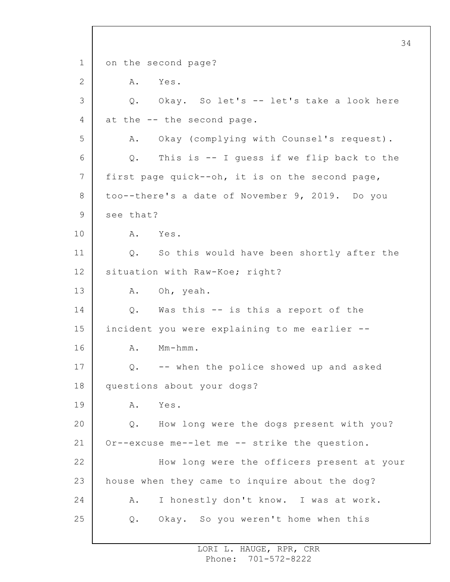1 2 3 4 5 6 7 8 9 10 11 12 13 14 15 16 17 18 19 20 21 22 23 24 25 34 on the second page? A. Yes. Q. Okay. So let's -- let's take a look here at the -- the second page. A. Okay (complying with Counsel's request). Q. This is -- I guess if we flip back to the first page quick--oh, it is on the second page, too--there's a date of November 9, 2019. Do you see that? A. Yes. Q. So this would have been shortly after the situation with Raw-Koe; right? A. Oh, yeah. Q. Was this -- is this a report of the incident you were explaining to me earlier -- A. Mm-hmm. Q. -- when the police showed up and asked questions about your dogs? A. Yes. Q. How long were the dogs present with you? Or--excuse me--let me -- strike the question. How long were the officers present at your house when they came to inquire about the dog? A. I honestly don't know. I was at work. Q. Okay. So you weren't home when this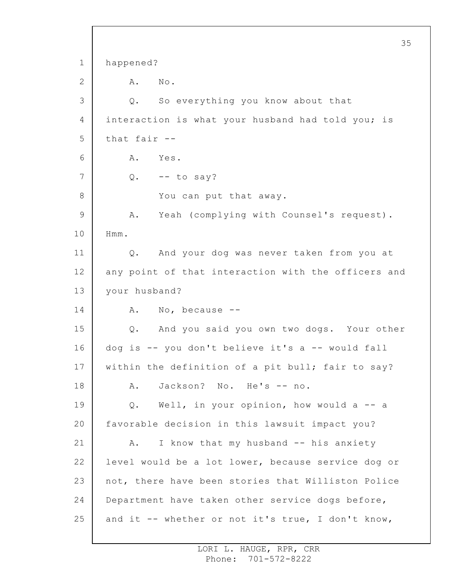1 2 3 4 5 6 7 8 9 10 11 12 13 14 15 16 17 18 19 20 21 22 23 24 25 happened? A. No. Q. So everything you know about that interaction is what your husband had told you; is that fair -- A. Yes.  $Q. \t-- \t to say?$ You can put that away. A. Yeah (complying with Counsel's request). Hmm. Q. And your dog was never taken from you at any point of that interaction with the officers and your husband? A. No, because -- Q. And you said you own two dogs. Your other dog is -- you don't believe it's a -- would fall within the definition of a pit bull; fair to say? A. Jackson? No. He's -- no. Q. Well, in your opinion, how would a -- a favorable decision in this lawsuit impact you? A. I know that my husband -- his anxiety level would be a lot lower, because service dog or not, there have been stories that Williston Police Department have taken other service dogs before, and it -- whether or not it's true, I don't know,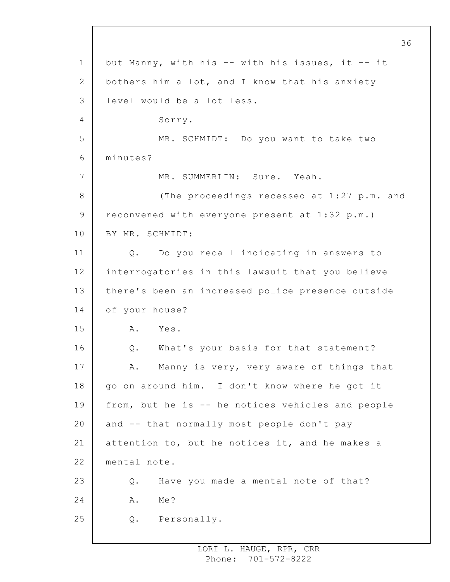1 2 3 4 5 6 7 8 9 10 11 12 13 14 15 16 17 18 19 20 21 22 23 24 25 but Manny, with his -- with his issues, it -- it bothers him a lot, and I know that his anxiety level would be a lot less. Sorry. MR. SCHMIDT: Do you want to take two minutes? MR. SUMMERLIN: Sure. Yeah. (The proceedings recessed at 1:27 p.m. and reconvened with everyone present at 1:32 p.m.) BY MR. SCHMIDT: Q. Do you recall indicating in answers to interrogatories in this lawsuit that you believe there's been an increased police presence outside of your house? A. Yes. Q. What's your basis for that statement? A. Manny is very, very aware of things that go on around him. I don't know where he got it from, but he is -- he notices vehicles and people and -- that normally most people don't pay attention to, but he notices it, and he makes a mental note. Q. Have you made a mental note of that? A. Me? Q. Personally.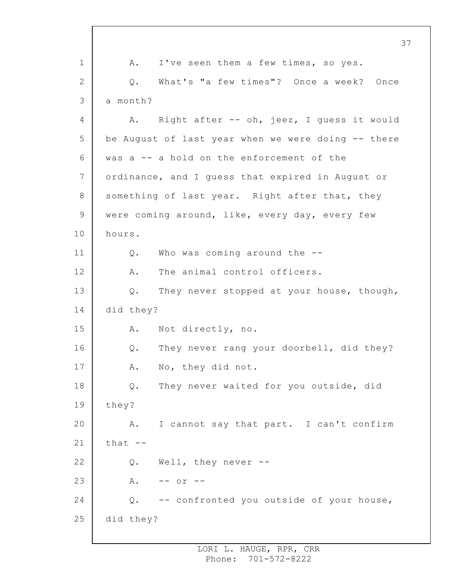1 2 3 4 5 6 7 8 9 10 11 12 13 14 15 16 17 18 19 20 21 22 23 24 25 A. I've seen them a few times, so yes. Q. What's "a few times"? Once a week? Once a month? A. Right after -- oh, jeez, I guess it would be August of last year when we were doing -- there was a -- a hold on the enforcement of the ordinance, and I guess that expired in August or something of last year. Right after that, they were coming around, like, every day, every few hours. Q. Who was coming around the -- A. The animal control officers. Q. They never stopped at your house, though, did they? A. Not directly, no. Q. They never rang your doorbell, did they? A. No, they did not. Q. They never waited for you outside, did they? A. I cannot say that part. I can't confirm  $that --$ Q. Well, they never -- A. -- or -- Q. -- confronted you outside of your house, did they?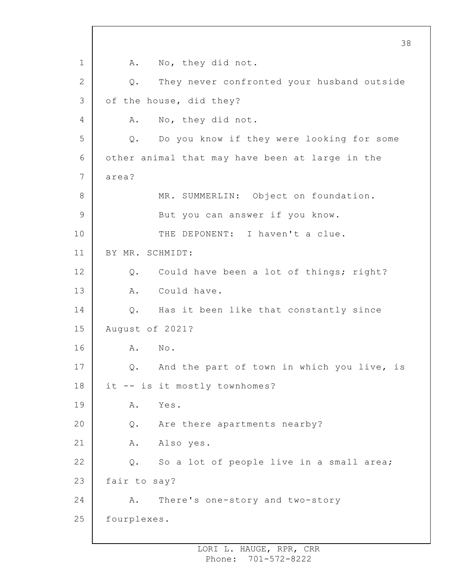1 2 3 4 5 6 7 8 9 10 11 12 13 14 15 16 17 18 19 20 21 22 23 24 25 38 A. No, they did not. Q. They never confronted your husband outside of the house, did they? A. No, they did not. Q. Do you know if they were looking for some other animal that may have been at large in the area? MR. SUMMERLIN: Object on foundation. But you can answer if you know. THE DEPONENT: I haven't a clue. BY MR. SCHMIDT: Q. Could have been a lot of things; right? A. Could have. Q. Has it been like that constantly since August of 2021? A. No. Q. And the part of town in which you live, is it -- is it mostly townhomes? A. Yes. Q. Are there apartments nearby? A. Also yes. Q. So a lot of people live in a small area; fair to say? A. There's one-story and two-story fourplexes.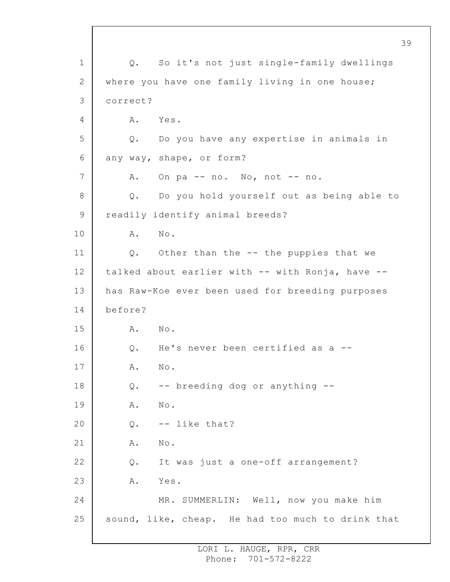1 2 3 4 5 6 7 8 9 10 11 12 13 14 15 16 17 18 19 20 21 22 23 24 25 39 Q. So it's not just single-family dwellings where you have one family living in one house; correct? A. Yes. Q. Do you have any expertise in animals in any way, shape, or form? A. On pa -- no. No, not -- no. Q. Do you hold yourself out as being able to readily identify animal breeds? A. No. Q. Other than the -- the puppies that we talked about earlier with -- with Ronja, have - has Raw-Koe ever been used for breeding purposes before? A. No. Q. He's never been certified as a -- A. No. Q. -- breeding dog or anything -- A. No. Q. -- like that? A. No. Q. It was just a one-off arrangement? A. Yes. MR. SUMMERLIN: Well, now you make him sound, like, cheap. He had too much to drink that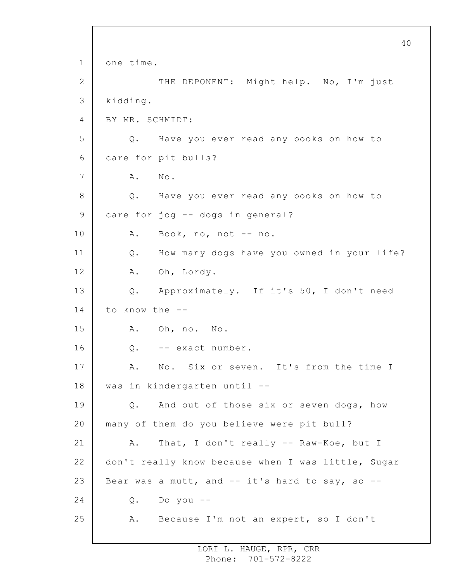1 2 3 4 5 6 7 8 9 10 11 12 13 14 15 16 17 18 19 20 21 22 23 24 25 40 one time. THE DEPONENT: Might help. No, I'm just kidding. BY MR. SCHMIDT: Q. Have you ever read any books on how to care for pit bulls? A. No. Q. Have you ever read any books on how to care for jog -- dogs in general? A. Book, no, not -- no. Q. How many dogs have you owned in your life? A. Oh, Lordy. Q. Approximately. If it's 50, I don't need to know the -- A. Oh, no. No. Q. -- exact number. A. No. Six or seven. It's from the time I was in kindergarten until -- Q. And out of those six or seven dogs, how many of them do you believe were pit bull? A. That, I don't really -- Raw-Koe, but I don't really know because when I was little, Sugar Bear was a mutt, and  $--$  it's hard to say, so  $--$ Q. Do you -- A. Because I'm not an expert, so I don't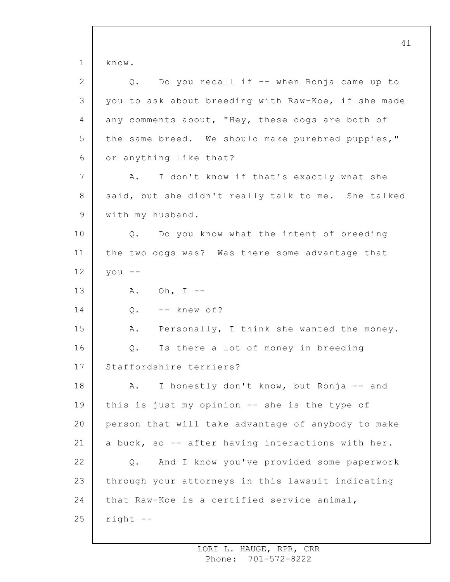1 2 3 4 5 6 7 8 9 10 11 12 13 14 15 16 17 18 19 20 21 22 23 24 25 41 know. Q. Do you recall if -- when Ronja came up to you to ask about breeding with Raw-Koe, if she made any comments about, "Hey, these dogs are both of the same breed. We should make purebred puppies," or anything like that? A. I don't know if that's exactly what she said, but she didn't really talk to me. She talked with my husband. Q. Do you know what the intent of breeding the two dogs was? Was there some advantage that you -- A. Oh, I --  $Q.$  -- knew of? A. Personally, I think she wanted the money. Q. Is there a lot of money in breeding Staffordshire terriers? A. I honestly don't know, but Ronja -- and this is just my opinion -- she is the type of person that will take advantage of anybody to make a buck, so -- after having interactions with her. Q. And I know you've provided some paperwork through your attorneys in this lawsuit indicating that Raw-Koe is a certified service animal, right --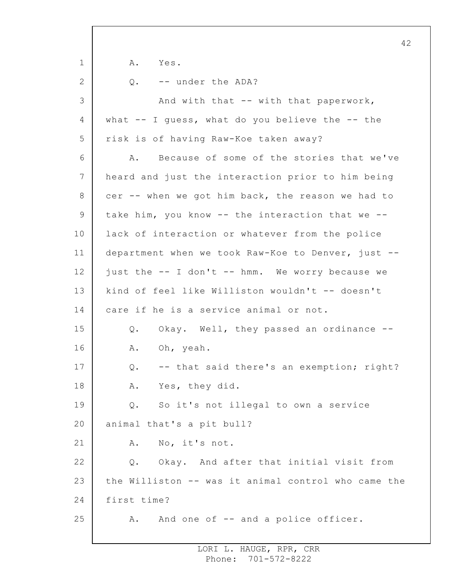1 2 3 4 5 6 7 8 9 10 11 12 13 14 15 16 17 18 19 20 21 22 23 24 25 A. Yes. Q. -- under the ADA? And with that -- with that paperwork, what  $-$  I quess, what do you believe the  $-$  the risk is of having Raw-Koe taken away? A. Because of some of the stories that we've heard and just the interaction prior to him being cer -- when we got him back, the reason we had to take him, you know -- the interaction that we - lack of interaction or whatever from the police department when we took Raw-Koe to Denver, just - just the -- I don't -- hmm. We worry because we kind of feel like Williston wouldn't -- doesn't care if he is a service animal or not. Q. Okay. Well, they passed an ordinance -- A. Oh, yeah. Q. -- that said there's an exemption; right? A. Yes, they did. Q. So it's not illegal to own a service animal that's a pit bull? A. No, it's not. Q. Okay. And after that initial visit from the Williston -- was it animal control who came the first time? A. And one of -- and a police officer.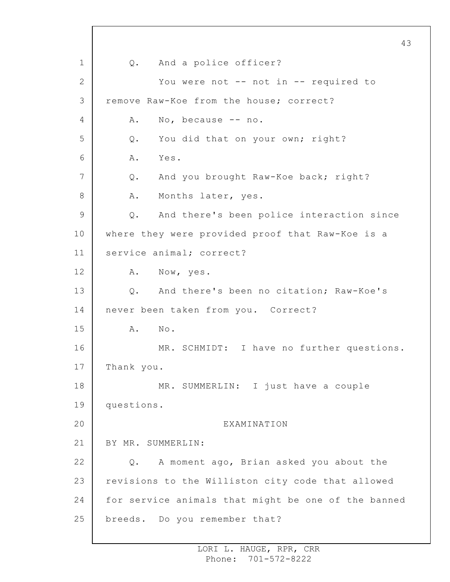1 2 3 4 5 6 7 8 9 10 11 12 13 14 15 16 17 18 19 20 21 22 23 24 25 43 Q. And a police officer? You were not -- not in -- required to remove Raw-Koe from the house; correct? A. No, because -- no. Q. You did that on your own; right? A. Yes. Q. And you brought Raw-Koe back; right? A. Months later, yes. Q. And there's been police interaction since where they were provided proof that Raw-Koe is a service animal; correct? A. Now, yes. Q. And there's been no citation; Raw-Koe's never been taken from you. Correct? A. No. MR. SCHMIDT: I have no further questions. Thank you. MR. SUMMERLIN: I just have a couple questions. EXAMINATION BY MR. SUMMERLIN: Q. A moment ago, Brian asked you about the revisions to the Williston city code that allowed for service animals that might be one of the banned breeds. Do you remember that?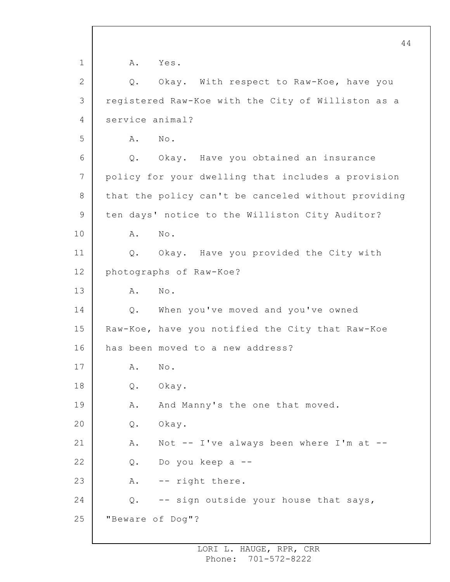1 2 3 4 5 6 7 8 9 10 11 12 13 14 15 16 17 18 19 20 21 22 23 24 25 A. Yes. Q. Okay. With respect to Raw-Koe, have you registered Raw-Koe with the City of Williston as a service animal? A. No. Q. Okay. Have you obtained an insurance policy for your dwelling that includes a provision that the policy can't be canceled without providing ten days' notice to the Williston City Auditor? A. No. Q. Okay. Have you provided the City with photographs of Raw-Koe? A. No. Q. When you've moved and you've owned Raw-Koe, have you notified the City that Raw-Koe has been moved to a new address? A. No. Q. Okay. A. And Manny's the one that moved. Q. Okay. A. Not -- I've always been where I'm at -- Q. Do you keep a -- A. -- right there. Q. -- sign outside your house that says, "Beware of Dog"?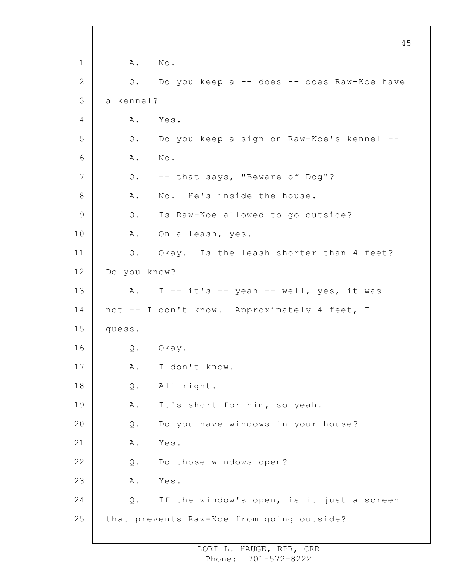1 2 3 4 5 6 7 8 9 10 11 12 13 14 15 16 17 18 19 20 21 22 23 24 25 45 A. No. Q. Do you keep a -- does -- does Raw-Koe have a kennel? A. Yes. Q. Do you keep a sign on Raw-Koe's kennel -- A. No. Q. -- that says, "Beware of Dog"? A. No. He's inside the house. Q. Is Raw-Koe allowed to go outside? A. On a leash, yes. Q. Okay. Is the leash shorter than 4 feet? Do you know? A. I  $-$  it's  $-$  yeah  $-$  well, yes, it was not -- I don't know. Approximately 4 feet, I guess. Q. Okay. A. I don't know. Q. All right. A. It's short for him, so yeah. Q. Do you have windows in your house? A. Yes. Q. Do those windows open? A. Yes. Q. If the window's open, is it just a screen that prevents Raw-Koe from going outside?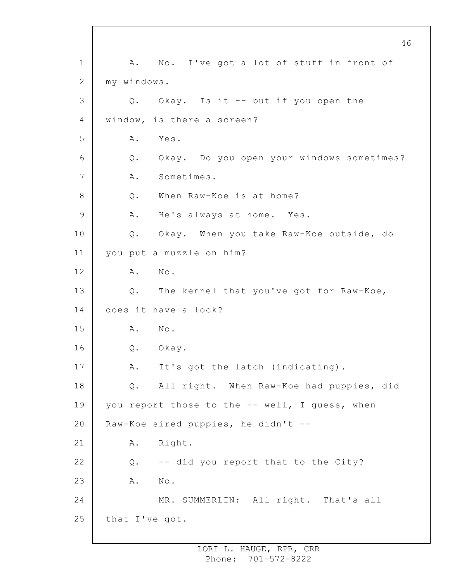1 2 3 4 5 6 7 8 9 10 11 12 13 14 15 16 17 18 19 20 21 22 23 24 25 A. No. I've got a lot of stuff in front of my windows. Q. Okay. Is it -- but if you open the window, is there a screen? A. Yes. Q. Okay. Do you open your windows sometimes? A. Sometimes. Q. When Raw-Koe is at home? A. He's always at home. Yes. Q. Okay. When you take Raw-Koe outside, do you put a muzzle on him? A. No. Q. The kennel that you've got for Raw-Koe, does it have a lock? A. No. Q. Okay. A. It's got the latch (indicating). Q. All right. When Raw-Koe had puppies, did you report those to the -- well, I quess, when Raw-Koe sired puppies, he didn't -- A. Right. Q. -- did you report that to the City? A. No. MR. SUMMERLIN: All right. That's all that I've got.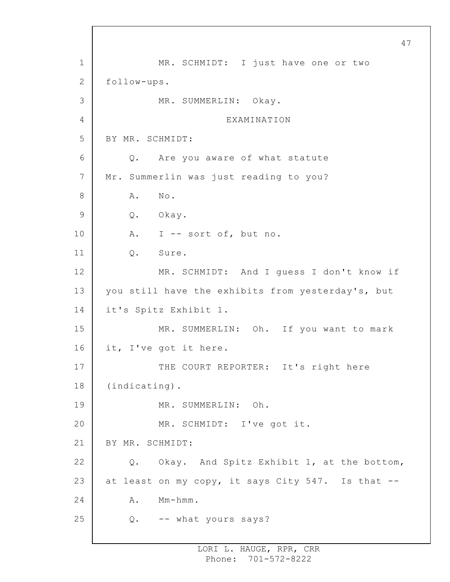1 2 3 4 5 6 7 8 9 10 11 12 13 14 15 16 17 18 19 20 21 22 23 24 25 MR. SCHMIDT: I just have one or two follow-ups. MR. SUMMERLIN: Okay. EXAMINATION BY MR. SCHMIDT: Q. Are you aware of what statute Mr. Summerlin was just reading to you? A. No. Q. Okay. A. I -- sort of, but no. Q. Sure. MR. SCHMIDT: And I guess I don't know if you still have the exhibits from yesterday's, but it's Spitz Exhibit 1. MR. SUMMERLIN: Oh. If you want to mark it, I've got it here. THE COURT REPORTER: It's right here (indicating). MR. SUMMERLIN: Oh. MR. SCHMIDT: I've got it. BY MR. SCHMIDT: Q. Okay. And Spitz Exhibit 1, at the bottom, at least on my copy, it says City 547. Is that -- A. Mm-hmm. Q. -- what yours says?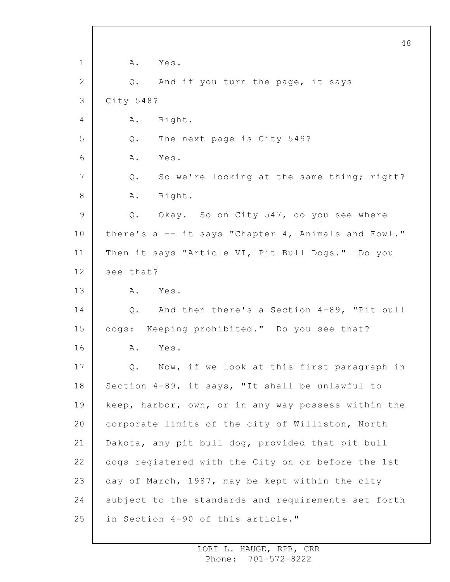1 2 3 4 5 6 7 8 9 10 11 12 13 14 15 16 17 18 19 20 21 22 23 24 25 A. Yes. Q. And if you turn the page, it says City 548? A. Right. Q. The next page is City 549? A. Yes. Q. So we're looking at the same thing; right? A. Right. Q. Okay. So on City 547, do you see where there's a -- it says "Chapter 4, Animals and Fowl." Then it says "Article VI, Pit Bull Dogs." Do you see that? A. Yes. Q. And then there's a Section 4-89, "Pit bull dogs: Keeping prohibited." Do you see that? A. Yes. Q. Now, if we look at this first paragraph in Section 4-89, it says, "It shall be unlawful to keep, harbor, own, or in any way possess within the corporate limits of the city of Williston, North Dakota, any pit bull dog, provided that pit bull dogs registered with the City on or before the 1st day of March, 1987, may be kept within the city subject to the standards and requirements set forth in Section 4-90 of this article."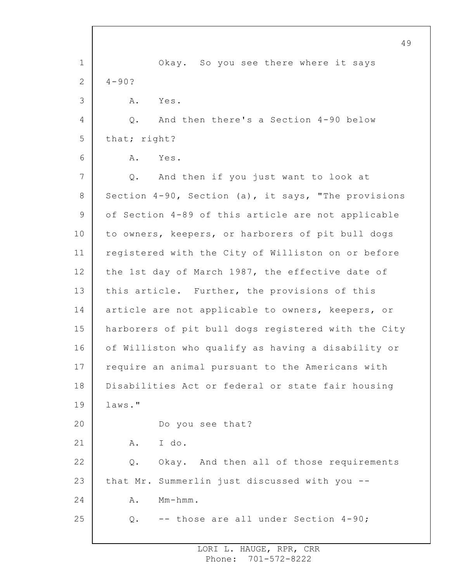|                | 49                                                  |
|----------------|-----------------------------------------------------|
| $\mathbf 1$    | Okay. So you see there where it says                |
| 2              | $4 - 90?$                                           |
| 3              | Α.<br>Yes.                                          |
| 4              | And then there's a Section 4-90 below<br>$Q$ .      |
| 5              | that; right?                                        |
| 6              | Yes.<br>Α.                                          |
| $7\phantom{.}$ | And then if you just want to look at<br>Q.          |
| 8              | Section 4-90, Section (a), it says, "The provisions |
| 9              | of Section 4-89 of this article are not applicable  |
| 10             | to owners, keepers, or harborers of pit bull dogs   |
| 11             | registered with the City of Williston on or before  |
| 12             | the 1st day of March 1987, the effective date of    |
| 13             | this article. Further, the provisions of this       |
| 14             | article are not applicable to owners, keepers, or   |
| 15             | harborers of pit bull dogs registered with the City |
| 16             | of Williston who qualify as having a disability or  |
| 17             | require an animal pursuant to the Americans with    |
| 18             | Disabilities Act or federal or state fair housing   |
| 19             | laws."                                              |
| 20             | Do you see that?                                    |
| 21             | I do.<br>Α.                                         |
| 22             | Okay. And then all of those requirements<br>Q.      |
| 23             | that Mr. Summerlin just discussed with you --       |
| 24             | $Mm-hmm$ .<br>Α.                                    |
| 25             | -- those are all under Section 4-90;<br>Q.          |
|                |                                                     |

 $\overline{\phantom{a}}$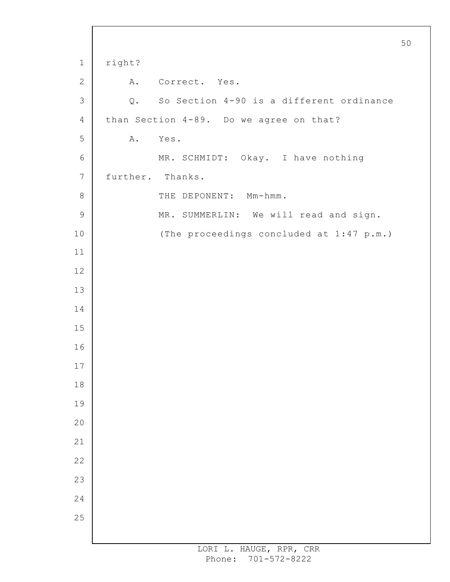```
1
 2
 3
 4
 5
 6
7
8
9
10
11
12
13
14
15
16
17
18
19
20
21
22
23
24
25
                                                        50
     right?
         A. Correct. Yes.
         Q. So Section 4-90 is a different ordinance
     than Section 4-89. Do we agree on that?
        A. Yes.
              MR. SCHMIDT: Okay. I have nothing
     further. Thanks.
              THE DEPONENT: Mm-hmm.
              MR. SUMMERLIN: We will read and sign.
              (The proceedings concluded at 1:47 p.m.)
```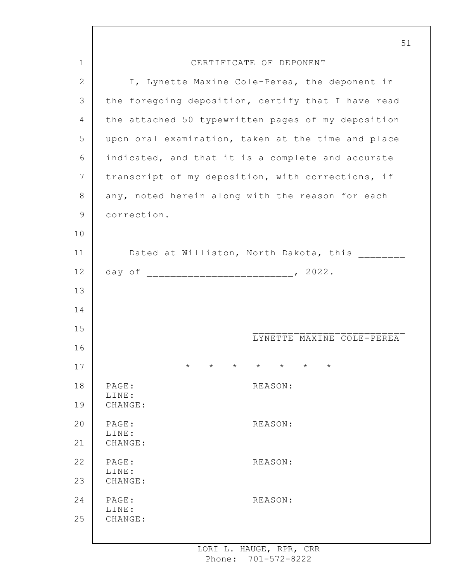|              | 51                                                                         |
|--------------|----------------------------------------------------------------------------|
| $\mathbf 1$  | CERTIFICATE OF DEPONENT                                                    |
| $\mathbf{2}$ | I, Lynette Maxine Cole-Perea, the deponent in                              |
| 3            | the foregoing deposition, certify that I have read                         |
| 4            | the attached 50 typewritten pages of my deposition                         |
| 5            | upon oral examination, taken at the time and place                         |
| 6            | indicated, and that it is a complete and accurate                          |
| 7            | transcript of my deposition, with corrections, if                          |
| 8            | any, noted herein along with the reason for each                           |
| 9            | correction.                                                                |
| 10           |                                                                            |
| 11           | Dated at Williston, North Dakota, this ________                            |
| 12           |                                                                            |
| 13           |                                                                            |
| 14           |                                                                            |
| 15           |                                                                            |
| 16           | LYNETTE MAXINE COLE-PEREA                                                  |
| 17           | $\star$<br>$\star$<br>$\star$<br>$\star$<br>$\star$<br>$\star$<br>$^\star$ |
| 18           | PAGE:<br>REASON:                                                           |
| 19           | LINE:<br>CHANGE:                                                           |
| 20           | PAGE:<br>REASON:                                                           |
| 21           | LINE:<br>CHANGE:                                                           |
| 22           | PAGE:<br>REASON:                                                           |
| 23           | LINE:<br>CHANGE:                                                           |
| 24           | PAGE:<br>REASON:                                                           |
| 25           | LINE:<br>CHANGE:                                                           |
|              |                                                                            |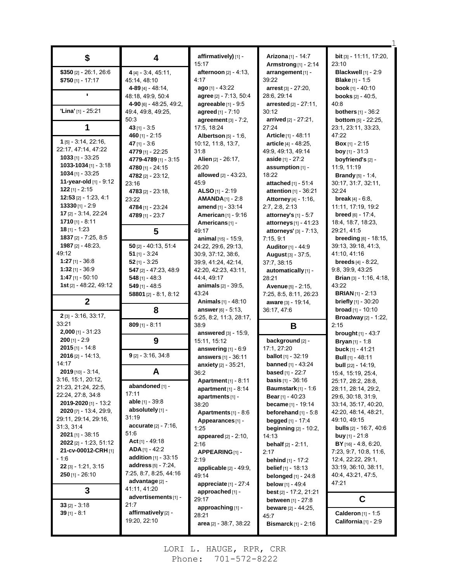|                               |                               | affirmatively) [1] -            | <b>Arizona</b> [1] - 14:7                       | bit [3] - 11:11, 17:20,         |
|-------------------------------|-------------------------------|---------------------------------|-------------------------------------------------|---------------------------------|
| \$                            | 4                             | 15:17                           | <b>Armstrong</b> [1] - 2:14                     | 23:10                           |
| \$350 [2] - 26:1, 26:6        | $4[4] - 3:4, 45:11,$          | <b>afternoon</b> $[2] - 4:13$ , | arrangement [1] -                               | Blackwell [1] - 2:9             |
| $$750$ [1] - 17:17            | 45:14, 48:10                  | 4:17                            | 39:22                                           | <b>Blake</b> $[1] - 1.5$        |
|                               | 4-89 $[4]$ - 48:14,           | ago $[1] - 43.22$               | arrest [3] - 27:20,                             | book [1] - 40:10                |
|                               | 48:18, 49:9, 50:4             | agree [2] - 7:13, 50:4          | 28:6, 29:14                                     | <b>books</b> $[2] - 40:5$ ,     |
|                               | 4-90 [6] - 48:25, 49:2,       | agreeable $[1]$ - $9.5$         | arrested [2] - 27:11,                           | 40:8                            |
| 'Lina' [1] - 25:21            | 49:4, 49:8, 49:25,            | agreed [1] - 7:10               | 30:12                                           | <b>bothers</b> $[1] - 36:2$     |
|                               | 50:3                          | agreement $[3] - 7:2$ ,         | arrived [2] - 27:21,                            | <b>bottom</b> $[5] - 22:25$ ,   |
|                               | 43 [1] - 3:5                  | 17:5, 18:24                     | 27:24                                           | 23:1, 23:11, 33:23,             |
|                               | 460 $[1] - 2:15$              | <b>Albertson</b> [5] - 1:6,     | Article [1] - 48:11                             | 47:22                           |
| 1 [5] - 3:14, 22:16,          | 47 [1] - 3:6                  | 10:12, 11:8, 13:7,              | article [4] - 48:25,                            | <b>Box</b> [1] - 2:15           |
| 22:17, 47:14, 47:22           | 4779 [1] - 22:25              | 31:8                            | 49:9, 49:13, 49:14                              | <b>boy</b> [1] - $31:3$         |
| <b>1033</b> [1] - 33:25       | 4779-4789 [1] - 3:15          | Alien [2] - 26:17,              | aside $[1] - 27:2$                              | boyfriend's [2] -               |
| $1033 - 1034$ [1] - 3:18      | 4780 [1] - 24:15              | 26:20                           | assumption [1] -                                | 11:9, 11:19                     |
| $1034$ [1] - 33:25            | 4782 [2] - 23:12,             | allowed $[2] - 43:23$ ,         | 18:22                                           | <b>Brandy</b> $[5] - 1:4$ ,     |
| 11-year-old [1] - 9:12        | 23:16                         | 45:9                            | attached [1] - 51:4                             | 30:17, 31:7, 32:11,             |
| $122$ [1] - 2:15              | 4783 $[2] - 23.18$            | ALSO [1] - 2:19                 | attention [1] - 36:21                           | 32:24                           |
| $12:53$ [2] - 1:23, 4:1       | 23:22                         | $AMANDA_{[1]} - 2:8$            | Attorney [4] - 1:16,                            | <b>break</b> $[4] - 6.8$ ,      |
| $13330$ [1] - 2:9             | 4784 [1] - 23:24              | amend [1] - 33:14               | 2:7, 2:8, 2:13                                  | 11:11, 17:19, 19:2              |
| 17 [2] - 3:14, 22:24          | 4789 [1] - 23:7               | American [1] - 9:16             | attorney's $[1] - 5.7$                          | <b>breed</b> $[6] - 17:4$ ,     |
| $1710$ [1] - 8:11             |                               | Americans <sup>[1]</sup> -      |                                                 | 18:4, 18:7, 18:23,              |
| $18$ [1] - 1:23               |                               | 49:17                           | attorneys [1] - 41:23<br>attorneys' [3] - 7:13, | 29:21, 41:5                     |
| 1837 [2] - 7:25, 8:5          | 5                             | animal $[15] - 15.9$ ,          | 7:15, 9:1                                       | breeding [6] - 18:15,           |
| 1987 [2] - 48:23,             | $50$ [2] - 40:13, 51:4        | 24:22, 29:6, 29:13,             | <b>Auditor</b> [1] - 44:9                       | 39.13, 39.18, 41.3,             |
| 49:12                         | $51$ [1] - 3:24               | 30.9, 37:12, 38:6,              | <b>August [3] - 37:5,</b>                       | 41:10, 41:16                    |
| $1:27$ [1] - 36:8             | $52$ [1] - 3:25               | 39.9, 41.24, 42.14,             | 37:7, 38:15                                     | <b>breeds</b> $[4] - 8:22$ ,    |
| $1:32$ [1] - 36:9             | 547 [2] - 47:23, 48:9         | 42:20, 42:23, 43:11,            | automatically [1] -                             | 9.8, 39.9, 43.25                |
| $1:47$ [1] - 50:10            | $548$ [1] - 48:3              | 44:4, 49:17                     | 28:21                                           | Brian [3] - 1:16, 4:18,         |
| 1st [2] - 48:22, 49:12        | $549$ [1] - 48:5              | animals [2] - 39:5,             | <b>Avenue</b> [5] - 2:15,                       | 43:22                           |
|                               | 58801 $[2] - 8.1, 8.12$       | 43:24                           | 7:25, 8:5, 8:11, 26:23                          | <b>BRIAN</b> $[1]$ - 2:13       |
| $\mathbf{2}$                  |                               | <b>Animals</b> $[1] - 48:10$    | aware [3] - 19:14,                              | <b>briefly</b> $[1]$ - 30:20    |
|                               | 8                             | <b>answer</b> $[6] - 5:13$ ,    | 36:17, 47:6                                     | <b>broad</b> $[1] - 10:10$      |
| 2 [3] - 3.16, 33.17,          |                               | 5:25, 8:2, 11:3, 28:17,         |                                                 | <b>Broadway</b> [2] - 1:22,     |
| 33:21                         | $809$ [1] - 8:11              | 38.9                            | В                                               | 2:15                            |
| $2,000$ [1] - 31:23           |                               | answered [3] - 15:9,            |                                                 | <b>brought</b> [1] - 43:7       |
| $200$ [1] - 2:9               | 9                             | 15:11, 15:12                    | background [2] -                                | <b>Bryan</b> $[1]$ - 1:8        |
| $2015$ [1] - 14:8             |                               | answering $[1] - 6:9$           | 17:1, 27:20                                     | buck [1] - 41:21                |
| $2016$ [2] - 14:13,           | $9$ [2] - 3:16, 34:8          | answers [1] - 36:11             | <b>ballot</b> [1] - 32:19                       | <b>Bull</b> [1] - 48:11         |
| 14:17                         |                               | anxiety [2] - 35:21,            | <b>banned</b> [1] - 43:24                       | <b>bull</b> $[22] - 14:19$ ,    |
| $2019$ [10] - 3:14,           | A                             | 36:2                            | <b>based</b> [1] - $22:7$                       | 15:4, 15:19, 25:4,              |
| 3:16, 15:1, 20:12,            |                               | <b>Apartment</b> $[1] - 8:11$   | <b>basis</b> $[1] - 36:16$                      | 25:17, 28:2, 28:8,              |
| 21:23, 21:24, 22:5,           | abandoned [1] -               | <b>apartment</b> $[1] - 8:14$   | <b>Baumstark</b> $[1]$ - 1:6                    | 28:11, 28:14, 29:2,             |
| 22.24, 27.8, 34.8             | 17:11                         | apartments [1] -                | <b>Bear</b> [1] - 40:23                         | 29:6, 30:18, 31:9,              |
| 2019-2020 [1] - 13:2          | <b>able</b> $[1]$ - 39:8      | 38:20                           | <b>became</b> $[1]$ - 19:14                     | 33:14, 35:17, 40:20,            |
| <b>2020</b> [7] - 13:4, 29:9, | absolutely [1] -              | Apartments $[1] - 8:6$          | beforehand $[1] - 5.8$                          | 42:20, 48:14, 48:21,            |
| 29:11, 29:14, 29:16,          | 31:19                         | Appearances <sub>[1]</sub> -    | begged $[1] - 17.4$                             | 49.10, 49.15                    |
| 31:3, 31:4                    | accurate [2] - 7:16,          | 1:25                            | <b>beginning</b> [2] - 10:2,                    | <b>bulls</b> $[2] - 16.7, 40.6$ |
| <b>2021</b> [1] - 38:15       | 51:6                          | <b>appeared</b> $[2] - 2:10$ ,  | 14:13                                           | <b>buy</b> [1] - 21:8           |
| <b>2022</b> [2] - 1:23, 51:12 | Act $[1]$ - 49:18             | 2:16                            | <b>behalf</b> $[2] - 2:11$ ,                    | <b>BY</b> $[16] - 4.8, 6.20,$   |
| 21-cv-00012-CRH [1]           | $ADA_{[1]} - 42:2$            | APPEARING[1] -                  | 2:17                                            | 7:23, 9:7, 10:8, 11:6,          |
| - 1:6                         | <b>addition</b> $[1]$ - 33:15 | 2:19                            | <b>behind</b> $[1] - 17:2$                      | 12.4, 22.22, 29.1,              |
| $22$ [3] - 1:21, 3:15         | address $[5] - 7:24$ ,        | applicable $[2] - 49.9$ ,       | <b>belief</b> $[1]$ - 18:13                     | 33:19, 36:10, 38:11,            |
| $250$ [1] - 26:10             | 7:25, 8:7, 8:25, 44:16        | 49:14                           | <b>belonged</b> $[1]$ - 24:8                    | 40:4, 43:21, 47:5,              |
|                               | <b>advantage</b> [2] -        | appreciate $[1] - 27:4$         | <b>below</b> [1] - 49:4                         | 47:21                           |
| 3                             | 41:11, 41:20                  | approached [1] -                | <b>best</b> $[2] - 17:2, 21:21$                 |                                 |
|                               | advertisements [1] -          | 29:17                           | <b>between</b> $[1] - 27:8$                     | C                               |
| $33$ [2] - 3:18               | 21:7                          | approaching [1] -               | <b>beware</b> $[2] - 44:25$ ,                   |                                 |
| $39$ [1] - 8:1                | affirmatively [2] -           | 28:21                           | 45:7                                            | Calderon [1] - 1:5              |
|                               | 19:20, 22:10                  | area [2] - 38:7, 38:22          | <b>Bismarck</b> $[1]$ - 2:16                    | California $[1]$ - 2:9          |
|                               |                               |                                 |                                                 |                                 |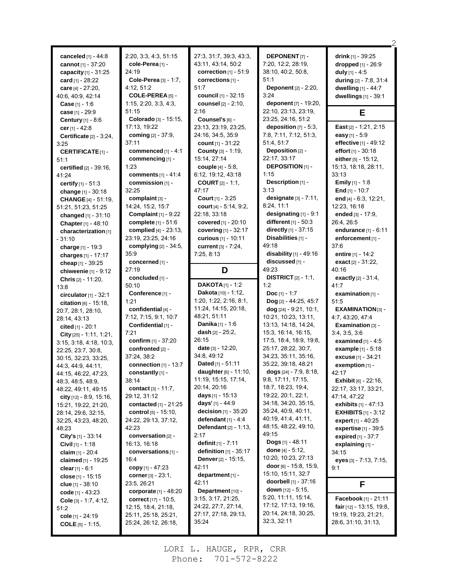| canceled [1] - 44:8<br>cannot [1] - 37:20<br>capacity [1] - 31:25<br>card [1] - 28:22<br>care $[4] - 27:20$ ,<br>40.6, 40.9, 42.14 | 2:20, 3:3, 4:3, 51:15<br>cole-Perea [1] -<br>24:19<br>Cole-Perea [3] - 1:7,<br>4:12, 51:2<br>COLE-PEREA [5] - | 27:3, 31:7, 39:3, 43:3,<br>43:11, 43:14, 50:2<br>correction $[1]$ - $51:9$<br>corrections $[1]$ -<br>51:7<br>council [1] - 32:15 | <b>DEPONENT</b> [7]-<br>7:20, 12:2, 28:19,<br>38:10, 40:2, 50:8,<br>51:1<br>Deponent [2] - 2:20,<br>3:24 | drink $[1]$ - 39:25<br>dropped [1] - 26:9<br>duly $[1] - 4:5$<br>during [2] - 7:8, 31:4<br>dwelling [1] - 44:7<br>dwellings [1] - 39:1 |
|------------------------------------------------------------------------------------------------------------------------------------|---------------------------------------------------------------------------------------------------------------|----------------------------------------------------------------------------------------------------------------------------------|----------------------------------------------------------------------------------------------------------|----------------------------------------------------------------------------------------------------------------------------------------|
| <b>Case</b> [1] - 1:6                                                                                                              | 1:15, 2:20, 3:3, 4:3,                                                                                         | counsel [2] - 2:10,                                                                                                              | deponent [7] - 19:20,                                                                                    |                                                                                                                                        |
| case [1] - 29:9                                                                                                                    | 51:15                                                                                                         | 2:16                                                                                                                             | 22:10, 23:13, 23:19,                                                                                     | E                                                                                                                                      |
| Century [1] - 8:6                                                                                                                  | Colorado [3] - 15:15,                                                                                         | Counsel's [6] -                                                                                                                  | 23:25, 24:16, 51:2                                                                                       |                                                                                                                                        |
| cer $[1] - 42.8$                                                                                                                   | 17:13, 19:22                                                                                                  | 23:13, 23:19, 23:25,                                                                                                             | deposition $[7] - 5:3$ ,                                                                                 | East [2] - 1:21, 2:15                                                                                                                  |
| Certificate $[2] - 3:24$ ,                                                                                                         | coming [2] - 37:9,                                                                                            | 24:16, 34:5, 35:9                                                                                                                | 7:8, 7:11, 7:12, 51:3,                                                                                   | easy [1] - 5:9                                                                                                                         |
| 3:25                                                                                                                               | 37:11                                                                                                         | count $[1] - 31:22$                                                                                                              | 51:4, 51:7                                                                                               | effective [1] - 49:12                                                                                                                  |
| <b>CERTIFICATE[1]-</b>                                                                                                             | commenced [1] - 4:1                                                                                           | County [3] - 1:19,                                                                                                               | Deposition [2] -                                                                                         | effort $[1] - 30:18$                                                                                                                   |
| 51:1                                                                                                                               | commencing [1] -                                                                                              | 15:14, 27:14                                                                                                                     | 22:17, 33:17                                                                                             | either [5] - 15:12,                                                                                                                    |
| <b>certified</b> $[2] - 39:16$ ,                                                                                                   | 1:23                                                                                                          | couple [4] - 5:8,                                                                                                                | <b>DEPOSITION</b> [1] -                                                                                  | 15:13, 18:18, 28:11,                                                                                                                   |
| 41:24                                                                                                                              | comments [1] - 41:4                                                                                           | 6:12, 19:12, 43:18                                                                                                               | 1:15                                                                                                     | 33:13                                                                                                                                  |
| certify [1] - 51:3                                                                                                                 | commission [1] -                                                                                              | <b>COURT</b> $[2] - 1:1$ ,                                                                                                       | Description [1] -                                                                                        | <b>Emily</b> $[1] - 1.8$                                                                                                               |
| change [1] - 30:18                                                                                                                 | 32:25                                                                                                         | 47:17                                                                                                                            | 3:13                                                                                                     | End $[1] - 10.7$                                                                                                                       |
| <b>CHANGE</b> [4] - 51:19,                                                                                                         | complaint [3] -                                                                                               | Court [1] - 3:25                                                                                                                 | designate [3] - 7:11,                                                                                    | end [4] - 6:3, 12:21,                                                                                                                  |
| 51:21, 51:23, 51:25                                                                                                                | 14:24, 15:2, 15:7                                                                                             | court $[4] - 5:14, 9:2,$                                                                                                         | 8:24, 11:1                                                                                               | 12:23, 16:18                                                                                                                           |
| changed [1] - 31:10                                                                                                                | Complaint $[1]$ - $9:22$                                                                                      | 22:18, 33:18                                                                                                                     | designating [1] - 9:1                                                                                    | ended [3] - 17:9.                                                                                                                      |
| Chapter [1] - 48:10                                                                                                                | complete [1] - 51:6                                                                                           | covered [1] - 20:10                                                                                                              | different [1] - 50:3                                                                                     | 26:4, 26:5                                                                                                                             |
| characterization [1]                                                                                                               | complied [4] - 23:13,                                                                                         | covering [1] - 32:17                                                                                                             | directly $[1] - 37:15$                                                                                   | endurance [1] - 6:11                                                                                                                   |
| $-31:10$                                                                                                                           | 23:19, 23:25, 24:16                                                                                           | curious [1] - 10:11                                                                                                              | Disabilities [1] -                                                                                       | enforcement [1] -                                                                                                                      |
| charge [1] - 19:3                                                                                                                  | complying [2] - 34:5,                                                                                         | current [3] - 7:24,                                                                                                              | 49:18                                                                                                    | 37:6                                                                                                                                   |
| charges [1] - 17:17                                                                                                                | 35:9                                                                                                          | 7:25, 8:13                                                                                                                       | disability $[1]$ - 49:16                                                                                 | entire [1] - 14:2                                                                                                                      |
| cheap [1] - 39:25                                                                                                                  | concerned [1] -                                                                                               |                                                                                                                                  | discussed [1] -                                                                                          | exact [2] - 31:22,                                                                                                                     |
| chiweenie $[1]$ - $9:12$                                                                                                           | 27:19                                                                                                         | D                                                                                                                                | 49:23                                                                                                    | 40:16                                                                                                                                  |
| Chris [2] - 11:20,                                                                                                                 | concluded [1] -                                                                                               |                                                                                                                                  | <b>DISTRICT</b> $[2] - 1:1$ ,                                                                            | exactly [2] - 31:4,                                                                                                                    |
|                                                                                                                                    | 50:10                                                                                                         | $DAKOTA[1] - 1:2$                                                                                                                |                                                                                                          |                                                                                                                                        |
|                                                                                                                                    |                                                                                                               |                                                                                                                                  | 1:2                                                                                                      | 41:7                                                                                                                                   |
| 13:8                                                                                                                               |                                                                                                               | Dakota [10] - 1:12,                                                                                                              | Doc $[1] - 1:7$                                                                                          |                                                                                                                                        |
| circulator $[1] - 32:1$                                                                                                            | Conference [1] -<br>1:21                                                                                      | 1:20, 1:22, 2:16, 8:1,                                                                                                           |                                                                                                          | examination [1] -<br>51:5                                                                                                              |
| citation [6] - 15:18,                                                                                                              |                                                                                                               | 11:24, 14:15, 20:18,                                                                                                             | Dog [2] - 44:25, 45:7                                                                                    |                                                                                                                                        |
| 20:7, 28:1, 28:10,                                                                                                                 | confidential [4] -                                                                                            | 48:21, 51:11                                                                                                                     | $dog$ [24] - 9:21, 10:1,<br>10:21, 10:23, 13:11,                                                         | EXAMINATION [3] -<br>4:7, 43:20, 47:4                                                                                                  |
| 28:14, 43:13                                                                                                                       | 7:12, 7:15, 9:1, 10:7<br>Confidential [1] -                                                                   | Danika [1] - 1:6                                                                                                                 | 13:13, 14:18, 14:24,                                                                                     | Examination [3] -                                                                                                                      |
| cited [1] - 20:1                                                                                                                   | 7:21                                                                                                          | dash [2] - 25:2,                                                                                                                 | 15:3, 16:14, 16:15,                                                                                      |                                                                                                                                        |
| City [25] - 1:11, 1:21,                                                                                                            | confirm [1] - 37:20                                                                                           | 26:15                                                                                                                            | 17:5, 18:4, 18:9, 19:8,                                                                                  | 3.4, 3.5, 3.6                                                                                                                          |
| 3:15, 3:18, 4:18, 10:3,                                                                                                            | confronted [2] -                                                                                              | date [3] - 12:20,                                                                                                                | 25:17, 28:22, 30:7,                                                                                      | examined $[1] - 4.5$<br>example [1] - 5:18                                                                                             |
| 22:25, 23:7, 30:8,                                                                                                                 | 37:24, 38:2                                                                                                   | 34:8, 49:12                                                                                                                      | 34:23, 35:11, 35:16,                                                                                     | excuse [1] - 34:21                                                                                                                     |
| 30:15, 32:23, 33:25,                                                                                                               |                                                                                                               | <b>Dated</b> [1] - $51:11$                                                                                                       | 35:22, 39:18, 48:21                                                                                      | exemption $[1]$ -                                                                                                                      |
| 44: 3, 44: 9, 44: 11,                                                                                                              | connection $[1]$ - 13:7<br>constantly [1] -                                                                   | daughter [6] - 11:10,                                                                                                            | dogs $[24] - 7:9, 8:18,$                                                                                 | 42:17                                                                                                                                  |
| 44:15, 46:22, 47:23,<br>48:3, 48:5, 48:9,                                                                                          | 38:14                                                                                                         | 11:19, 15:15, 17:14,                                                                                                             | 9:8, 17:11, 17:15,                                                                                       | <b>Exhibit</b> [6] - 22:16,                                                                                                            |
| 48:22, 49:11, 49:15                                                                                                                | contact $[3] - 11.7$ ,                                                                                        | 20:14, 20:16                                                                                                                     | 18:7, 18:23, 19:4,                                                                                       | 22:17, 33:17, 33:21,                                                                                                                   |
| <b>city</b> $[12] - 8.9, 15.16,$                                                                                                   | 29:12, 31:12                                                                                                  | <b>days</b> [1] - 15:13                                                                                                          | 19:22, 20:1, 22:1,                                                                                       | 47:14, 47:22                                                                                                                           |
| 15:21, 19:22, 21:20,                                                                                                               | contacted [1] - 21:25                                                                                         | days' [1] - 44:9                                                                                                                 | 34:18, 34:20, 35:15,                                                                                     | <b>exhibits</b> $[1] - 47:13$                                                                                                          |
| 28:14, 29:6, 32:15,                                                                                                                | <b>control</b> $[5] - 15:10$ ,                                                                                | decision $[1]$ - 35:20                                                                                                           | 35:24, 40:9, 40:11,                                                                                      | <b>EXHIBITS</b> $[1]$ - 3:12                                                                                                           |
| 32:25, 43:23, 48:20,                                                                                                               | 24:22, 29:13, 37:12,                                                                                          | defendant $[1] - 4.4$                                                                                                            | 40:19, 41:4, 41:11,                                                                                      | expert $[1] - 40.25$                                                                                                                   |
| 48:23                                                                                                                              | 42:23                                                                                                         | Defendant [2] - 1:13,                                                                                                            | 48:15, 48:22, 49:10,                                                                                     | <b>expertise</b> $[1]$ - 39:5                                                                                                          |
| City's $[1]$ - 33:14                                                                                                               | conversation [2] -                                                                                            | 2:17                                                                                                                             | 49:15                                                                                                    | <b>expired</b> $[1] - 37:7$                                                                                                            |
| <b>Civil</b> $[1] - 1:18$                                                                                                          | 16:13, 16:18                                                                                                  | <b>definit</b> $[1] - 7:11$                                                                                                      | Dogs [1] - 48:11                                                                                         | explaining [1] -                                                                                                                       |
| claim [1] - 20:4                                                                                                                   | conversations [1] -                                                                                           | definition $[1]$ - 35:17                                                                                                         | done $[4] - 5.12$ ,                                                                                      | 34:15                                                                                                                                  |
| claimed [1] - 19:25                                                                                                                | 16:4                                                                                                          | <b>Denver</b> $[2] - 15:15$ ,                                                                                                    | 10:20, 10:23, 27:13                                                                                      | eyes [3] - 7:13, 7:15,                                                                                                                 |
| clear $[1] - 6.1$                                                                                                                  | copy $[1] - 47:23$                                                                                            | 42:11                                                                                                                            | <b>door</b> [6] - 15:8, 15:9,                                                                            | 9:1                                                                                                                                    |
| close $[1]$ - 15:15                                                                                                                | corner $[3] - 23:1$ ,                                                                                         | department $[1]$ -                                                                                                               | 15:10, 15:11, 32:7                                                                                       |                                                                                                                                        |
| <b>clue</b> $[1] - 38:10$                                                                                                          | 23:5, 26:21                                                                                                   | 42:11                                                                                                                            | <b>doorbell</b> $[1] - 37:16$                                                                            | F                                                                                                                                      |
| code $[1] - 43.23$                                                                                                                 | corporate $[1] - 48:20$                                                                                       | Department [10] -                                                                                                                | <b>down</b> $[12] - 5:15$ ,                                                                              |                                                                                                                                        |
| Cole $[3] - 1:7, 4:12,$                                                                                                            | correct $[17] - 10.5$ ,                                                                                       | 3:15, 3:17, 21:25,                                                                                                               | 5:20, 11:11, 15:14,                                                                                      | <b>Facebook</b> [1] - 21:11                                                                                                            |
| 51:2                                                                                                                               | 12:15, 18:4, 21:18,                                                                                           | 24:22, 27:7, 27:14,                                                                                                              | 17:12, 17:13, 19:16,                                                                                     | <b>fair</b> $[12] - 13:15, 19:8,$                                                                                                      |
| cole $[1] - 24:19$<br><b>COLE</b> $[5] - 1:15$ ,                                                                                   | 25:11, 25:18, 25:21,<br>25:24, 26:12, 26:18,                                                                  | 27:17, 27:18, 29:13,<br>35:24                                                                                                    | 20:14, 24:18, 30:25,<br>32:3, 32:11                                                                      | 19:19, 19:23, 21:21,<br>28:6, 31:10, 31:13,                                                                                            |

×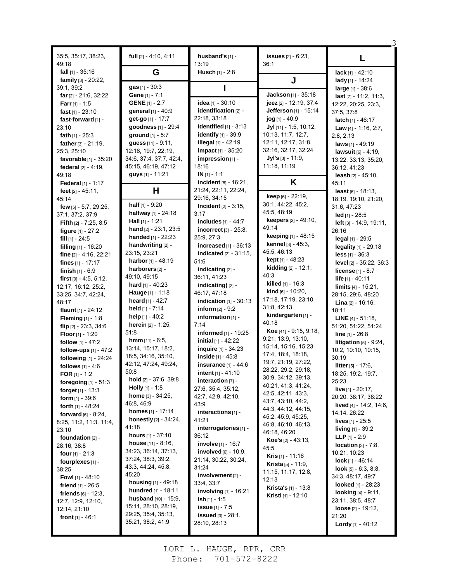| 35:5, 35:17, 38:23,<br>49:18                     | full [2] - 4:10, 4:11                    | husband's [1] -<br>13:19                       | <b>issues</b> [2] - 6:23,<br>36:1                       | L                                             |
|--------------------------------------------------|------------------------------------------|------------------------------------------------|---------------------------------------------------------|-----------------------------------------------|
| fall $[1]$ - 35:16                               | G                                        | Husch [1] - 2:8                                |                                                         | $lack [1] - 42:10$                            |
| family $[3] - 20:22$ ,                           |                                          |                                                | J                                                       | lady [1] - 14:24                              |
| 39:1, 39:2                                       | gas [1] - 30:3                           |                                                |                                                         | $large_{[1]} - 38.6$                          |
| far [2] - 21:6, 32:22                            | Gene [1] - 7:1                           |                                                | Jackson [1] - 35:18                                     | $last$ [7] - 11:2, 11:3,                      |
| <b>Farr</b> $[1] - 1.5$                          | <b>GENE</b> $[1] - 2:7$                  | idea [1] - 30:10                               | jeez [2] - 12:19, 37:4                                  | 12:22, 20:25, 23:3,                           |
| fast $[1] - 23:10$                               | general [1] - 40:9                       | identification [2] -                           | Jefferson [1] - 15:14                                   | 37:5, 37:8                                    |
| fast-forward [1] -                               | get-go [1] - 17:7                        | 22:18, 33:18                                   | jog [1] - 40:9                                          | latch $[1] - 46:17$                           |
| 23:10                                            | goodness [1] - 29:4                      | Identified [1] - 3:13                          | Jyl [11] - 1:5, 10:12,                                  | Law $[4] - 1.16, 2.7,$                        |
| fath $[1] - 25:3$                                | ground [1] - 5:7                         | identify [1] - 39:9                            | 10:13, 11:7, 12:7,                                      | 2:8, 2:13                                     |
| father [3] - 21:19,                              | guess [11] - 9:11,                       | <b>illegal</b> [1] - 42:19                     | 12:11, 12:17, 31:8,                                     | laws $[1] - 49:19$                            |
| 25:3, 25:10                                      | 12:16, 19:7, 22:19,                      | impact [1] - 35:20                             | 32:16, 32:17, 32:24                                     | lawsuit [6] - 4:19,                           |
| favorable [1] - 35:20                            | 34.6, 37.4, 37.7, 42.4,                  | impression [1] -                               | <b>Jyl's</b> [3] - 11:9,                                | 13:22, 33:13, 35:20,                          |
| federal $[2] - 4:19$ ,                           | 45:15, 46:19, 47:12                      | 18:16                                          | 11:18, 11:19                                            | 36:12, 41:23                                  |
| 49:18                                            | guys [1] - 11:21                         | $IN$ [1] - 1:1<br>incident [6] - 16:21,        | K                                                       | leash $[2] - 45:10$ ,                         |
| Federal $[1] - 1:17$                             | н                                        | 21:24, 22:11, 22:24,                           |                                                         | 45:11                                         |
| feet $[2] - 45.11$ ,<br>45:14                    |                                          | 29:16, 34:15                                   | keep [6] - 22:19,                                       | least $[6] - 18:13$ ,<br>18:19, 19:10, 21:20, |
| few [5] - 5:7, 29:25,                            | half [1] - 9:20                          | <b>Incident</b> $[2] - 3:15$ ,                 | 30:1, 44:22, 45:2,                                      | 31:6, 47:23                                   |
| 37:1, 37:2, 37:9                                 | halfway [1] - 24:18                      | 3:17                                           | 45:5.48:19                                              | led [1] - 28:5                                |
| <b>Fifth</b> $[2] - 7:25, 8:5$                   | <b>Hall</b> $[1]$ - 1:21                 | includes [1] - 44:7                            | <b>keepers</b> $[2] - 49:10$ ,                          | left [3] - 14:9, 19:11,                       |
| figure $[1] - 27:2$                              | hand $[2] - 23.1, 23.5$                  | incorrect $[3]$ - 25:8,                        | 49:14                                                   | 26:16                                         |
| fill $[1]$ - 24:5                                | handed [1] - 22:23                       | 25:9, 27:3                                     | keeping [1] - 48:15                                     | legal [1] - 29:5                              |
| filling $[1]$ - 16:20                            | handwriting [2] -                        | increased $[1]$ - 36:13                        | kennel [3] - 45:3,                                      | legality [1] - 29:18                          |
| fine $[2] - 4:16$ , 22:21                        | 23:15, 23:21                             | <b>indicated</b> $[2] - 31:15$ ,               | 45:5, 46:13                                             | <b>less</b> $[1] - 36:3$                      |
| fines $[1] - 17:17$                              | harbor [1] - 48:19                       | 51:6                                           | <b>kept</b> $[1] - 48:23$                               | level [2] - 35:22, 36:3                       |
| finish $[1] - 6.9$                               | harborers [2] -                          | indicating [2] -                               | kidding [2] - 12:1,                                     | <b>license</b> $[1] - 8:7$                    |
| first $[9] - 4.5, 5.12,$                         | 49:10, 49:15                             | 36:11, 41:23                                   | 40:3<br><b>killed</b> $[1] - 16:3$                      | life $[1] - 40:11$                            |
| 12:17, 16:12, 25:2,                              | hard [1] - 40:23                         | indicating) [2] -                              | <b>kind</b> $[6] - 10:20$ ,                             | limits $[4] - 15.21$ ,                        |
| 33:25, 34:7, 42:24,                              | <b>Hauge</b> $[1] - 1:18$                | 46:17, 47:18                                   | 17:18, 17:19, 23:10,                                    | 28:15, 29:6, 48:20                            |
| 48:17                                            | heard [1] - 42:7                         | indication $[1]$ - 30:13                       | 31:8, 42:13                                             | <b>Lina</b> $[2] - 16:16$ ,                   |
| flaunt [1] - 24:12                               | held $[1]$ - 7:14<br>help [1] - 40:2     | <b>inform</b> $[2] - 9:2$<br>information [1] - | kindergarten [1] -                                      | 18:11                                         |
| <b>Fleming</b> $[1] - 1.8$                       | herein [2] - 1:25,                       | 7:14                                           | 40:18                                                   | <b>LINE</b> $[4] - 51:18$ ,                   |
| flip $[2] - 23:3, 34:6$                          | 51:8                                     | informed [1] - 19:25                           | Koe [41] - 9:15, 9:18,                                  | 51:20, 51:22, 51:24<br>line $[1] - 26.8$      |
| <b>Floor</b> $[1] - 1:20$<br>follow $[1] - 47:2$ | $hmm$ [11] - 6:5,                        | initial $[1] - 42:22$                          | 9:21, 13:9, 13:10,                                      | litigation $[5]$ - 9:24,                      |
| follow-ups $[1] - 47:2$                          | 13:14, 15:17, 18:2,                      | inquire [1] - 34:23                            | 15:14, 15:16, 15:23,                                    | 10:2, 10:10, 10:15,                           |
| following [1] - 24:24                            | 18:5, 34:16, 35:10,                      | inside [1] - 45:8                              | 17:4, 18:4, 18:18,                                      | 30:19                                         |
| follows [1] - 4:6                                | 42:12, 47:24, 49:24,                     | insurance $[1] - 44:6$                         | 19:7, 21:19, 27:22,                                     | <b>litter</b> $[5] - 17:6$                    |
| <b>FOR</b> [1] - 1:2                             | 50:8                                     | <b>intent</b> $[1] - 41:10$                    | 28:22, 29:2, 29:18,                                     | 18:25, 19:2, 19:7,                            |
| foregoing $[1] - 51:3$                           | hold $[2] - 37.6, 39.8$                  | interaction $[7]$ -                            | 30.9, 34.12, 39.13,                                     | 25:23                                         |
| <b>forget</b> $[1] - 13.3$                       | <b>Holly</b> $[1]$ - 1:8                 | 27:6, 35:4, 35:12,                             | 40:21, 41:3, 41:24,                                     | live [4] - 20:17,                             |
| form $[1] - 39.6$                                | home [3] - 34:25,                        | 42.7, 42.9, 42.10,                             | 42.5, 42.11, 43.3,<br>43.7, 43.10, 44.2,                | 20:20, 38:17, 38:22                           |
| <b>forth</b> $[1]$ - 48:24                       | 46.8, 46.9                               | 43.9                                           | 44.3, 44.12, 44.15,                                     | lived $[4]$ - 14:2, 14:6,                     |
| <b>forward</b> $[6] - 8.24$ ,                    | <b>homes</b> $[1] - 17:14$               | interactions [1] -                             | 45:2, 45:9, 45:25,                                      | 14:14, 26:22                                  |
| 8:25, 11:2, 11:3, 11:4,                          | <b>honestly</b> $[2] - 34:24$ ,<br>41:18 | 41:21                                          | 46.8, 46.10, 46.13,                                     | <b>lives</b> $[1] - 25:5$                     |
| 23:10                                            | <b>hours</b> $[1] - 37:10$               | interrogatories [1] -<br>36:12                 | 46:18, 46:20                                            | <b>living</b> $[1]$ - 39:2                    |
| foundation $[2]$ -                               | <b>house</b> $[11] - 8.16$ ,             | <b>involve</b> [1] - 16:7                      | <b>Koe's</b> $[2] - 43:13$ ,                            | <b>LLP</b> $[1] - 2.9$                        |
| 28:16, 38:8                                      | 34:23, 36:14, 37:13,                     | <b>involved</b> $[6] - 10.9$ ,                 | 45:5                                                    | <b>location</b> $[3] - 7:8$ ,<br>10:21, 10:23 |
| <b>four</b> $[1] - 21:3$                         | 37:24, 38:3, 39:2,                       | 21:14, 30:22, 30:24,                           | <b>Kris</b> $[1]$ - 11:16                               | <b>lock</b> [1] - 46:14                       |
| fourplexes $[1]$ -<br>38:25                      | 43.3, 44.24, 45.8,                       | 31:24                                          | <b>Krista</b> [5] - 11:9,                               | <b>look</b> [5] $-6.3, 8.8,$                  |
| <b>Fowl</b> [1] - 48:10                          | 45:20                                    | $involvement$ [2] -                            | 11:15, 11:17, 12:8,                                     | 34:3, 48:17, 49:7                             |
| <b>friend</b> $[1] - 26.5$                       | <b>housing</b> $[1] - 49:18$             | 33.4, 33.7                                     | 12:13                                                   | looked $[1] - 28:23$                          |
| friends $[6] - 12:3$ ,                           | <b>hundred</b> $[1]$ - 18:11             | involving $[1]$ - 16:21                        | <b>Krista's</b> [1] - 13:8<br><b>Kristi</b> [1] - 12:10 | <b>looking</b> $[4] - 9.11$ ,                 |
| 12:7, 12:9, 12:10,                               | <b>husband</b> $[10] - 15:9$ ,           | <b>Ish</b> $[1] - 1.5$                         |                                                         | 23:11, 38:5, 48:7                             |
| 12:14, 21:10                                     | 15:11, 28:10, 28:19,                     | <b>issue</b> $[1] - 7.5$                       |                                                         | <b>loose</b> $[2] - 19.12$ ,                  |
| front $[1] - 46.1$                               | 29:25, 35:4, 35:13,<br>35:21, 38:2, 41:9 | issued [3] - 28:1,                             |                                                         | 21:20                                         |
|                                                  |                                          | 28:10, 28:13                                   |                                                         | <b>Lordy</b> [1] - 40:12                      |
|                                                  |                                          |                                                |                                                         |                                               |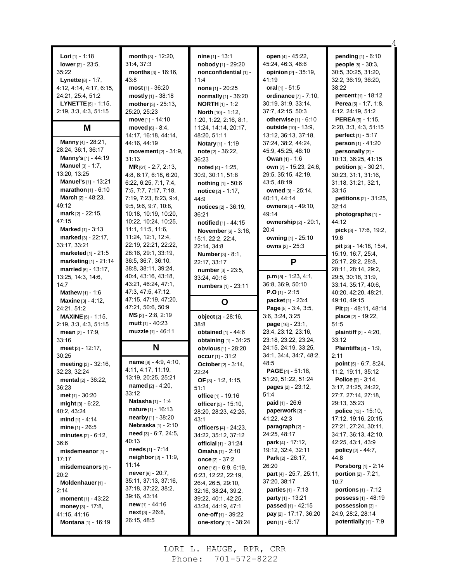| <b>Lori</b> [1] - 1:18<br>lower $[2] - 23.5$ ,<br>35:22<br>Lynette [8] - 1:7,<br>4:12, 4:14, 4:17, 6:15,<br>24:21, 25:4, 51:2<br><b>LYNETTE</b> $[5] - 1:15$<br>2:19, 3:3, 4:3, 51:15 | month $[3] - 12:20$ ,<br>31:4, 37:3<br>months $[3] - 16:16$ ,<br>43:8<br>most $[1] - 36:20$<br>mostly [1] - 38:18<br>mother $[3] - 25:13$ ,<br>25:20, 25:23<br>move [1] - 14:10 | nine $[1]$ - 13:1<br>nobody [1] - 29:20<br>nonconfidential [1] -<br>11:4<br><b>none</b> $[1]$ - 20:25<br>normally [1] - 36:20<br><b>NORTH</b> $[1]$ - 1:2<br>North [10] - 1:12,<br>1:20, 1:22, 2:16, 8:1, | open [4] - 45:22,<br>45:24, 46:3, 46:6<br><b>opinion</b> [2] - 35:19,<br>41:19<br>oral $[1] - 51.5$<br>ordinance [7] - 7:10,<br>30:19, 31:9, 33:14,<br>37:7, 42:15, 50:3<br>otherwise $[1] - 6:10$ | pending [1] - 6:10<br>people [8] - 30:3,<br>30:5, 30:25, 31:20,<br>32.2, 36.19, 36:20,<br>38:22<br>percent [1] - 18:12<br>Perea [5] $- 1.7, 1.8,$<br>4:12, 24:19, 51:2<br>PEREA [5] - 1:15, |
|---------------------------------------------------------------------------------------------------------------------------------------------------------------------------------------|---------------------------------------------------------------------------------------------------------------------------------------------------------------------------------|-----------------------------------------------------------------------------------------------------------------------------------------------------------------------------------------------------------|----------------------------------------------------------------------------------------------------------------------------------------------------------------------------------------------------|---------------------------------------------------------------------------------------------------------------------------------------------------------------------------------------------|
| M                                                                                                                                                                                     | $move d [6] - 8:4,$                                                                                                                                                             | 11:24, 14:14, 20:17,                                                                                                                                                                                      | outside [10] - 13:9,                                                                                                                                                                               | 2:20, 3:3, 4:3, 51:15                                                                                                                                                                       |
|                                                                                                                                                                                       | 14:17, 16:18, 44:14,                                                                                                                                                            | 48:20, 51:11                                                                                                                                                                                              | 13:12, 36:13, 37:18,                                                                                                                                                                               | <b>perfect</b> $[1] - 5:17$                                                                                                                                                                 |
| Manny [4] - 28:21,                                                                                                                                                                    | 44:16, 44:19                                                                                                                                                                    | Notary [1] - 1:19                                                                                                                                                                                         | 37:24, 38:2, 44:24,                                                                                                                                                                                | person [1] - 41:20                                                                                                                                                                          |
| 28:24, 36:1, 36:17                                                                                                                                                                    | <b>movement</b> $[2] - 31:9$ ,                                                                                                                                                  | note [2] - 36:22,                                                                                                                                                                                         | 45:9, 45:25, 46:10                                                                                                                                                                                 | personally [3] -                                                                                                                                                                            |
| Manny's [1] - 44:19                                                                                                                                                                   | 31:13                                                                                                                                                                           | 36:23                                                                                                                                                                                                     | <b>Owan</b> $[1] - 1.6$                                                                                                                                                                            | 10:13, 36:25, 41:15                                                                                                                                                                         |
| <b>Manuel</b> [3] - 1:7,                                                                                                                                                              | MR [61] - 2:7, 2:13,                                                                                                                                                            | noted [4] - 1:25,                                                                                                                                                                                         | own [7] - 15:23, 24:6,                                                                                                                                                                             | petition [9] - 30:21,                                                                                                                                                                       |
| 13:20, 13:25                                                                                                                                                                          | 4:8, 6:17, 6:18, 6:20,                                                                                                                                                          | 30:9, 30:11, 51:8                                                                                                                                                                                         | 29:5, 35:15, 42:19,                                                                                                                                                                                | 30:23, 31:1, 31:16,                                                                                                                                                                         |
| <b>Manuel's</b> [1] - 13:21                                                                                                                                                           | 6:22, 6:25, 7:1, 7:4,                                                                                                                                                           | nothing [1] - 50:6                                                                                                                                                                                        | 43:5, 48:19                                                                                                                                                                                        | 31:18, 31:21, 32:1,                                                                                                                                                                         |
| <b>marathon</b> $[1] - 6:10$                                                                                                                                                          | 7:5, 7:7, 7:17, 7:18,                                                                                                                                                           | <b>notice</b> $[2] - 1:17$ ,                                                                                                                                                                              | owned [3] - 25:14,                                                                                                                                                                                 | 33:15                                                                                                                                                                                       |
| <b>March</b> $[2] - 48:23$ ,                                                                                                                                                          | 7:19, 7:23, 8:23, 9:4,                                                                                                                                                          | 44:9                                                                                                                                                                                                      | 40:11, 44:14                                                                                                                                                                                       | <b>petitions</b> $[2] - 31:25$ ,                                                                                                                                                            |
| 49:12                                                                                                                                                                                 | 9:5, 9:6, 9:7, 10:8,                                                                                                                                                            | notices [2] - 36:19,                                                                                                                                                                                      | <b>owners</b> [2] - 49:10,                                                                                                                                                                         | 32:14                                                                                                                                                                                       |
| <b>mark</b> $[2] - 22:15$ ,                                                                                                                                                           | 10:18, 10:19, 10:20,                                                                                                                                                            | 36:21                                                                                                                                                                                                     | 49:14                                                                                                                                                                                              | photographs [1] -                                                                                                                                                                           |
| 47:15                                                                                                                                                                                 | 10:22, 10:24, 10:25,                                                                                                                                                            | notified [1] - 44:15                                                                                                                                                                                      | <b>ownership</b> $[2] - 20:1$                                                                                                                                                                      | 44:12                                                                                                                                                                                       |
| <b>Marked</b> $[1] - 3:13$<br><b>marked</b> $[3] - 22:17$ ,<br>33:17, 33:21<br>marketed [1] - 21:5                                                                                    | 11:1, 11:5, 11:6,<br>11:24, 12:1, 12:4,<br>22:19, 22:21, 22:22,<br>28:16, 29:1, 33:19,                                                                                          | November [6] - 3:16,<br>15:1, 22:2, 22:4,<br>22:14, 34.8<br>Number [3] - 8:1,                                                                                                                             | 20:4<br>owning [1] - 25:10<br>owns [2] - 25:3                                                                                                                                                      | $pick$ [3] - 17:6, 19:2,<br>19:6<br>pit [23] - 14:18, 15:4,<br>15:19, 16:7, 25:4,                                                                                                           |
| marketing [1] - 21:14<br><b>married</b> $[5] - 13:17$ ,<br>13:25, 14:3, 14:6,<br>14:7                                                                                                 | 36.5, 36.7, 36.10,<br>38.8, 38.11, 39:24,<br>40.4, 43.16, 43.18,<br>43.21, 46:24, 47:1,                                                                                         | 22:17, 33:17<br>number [3] - 23:5,<br>33:24, 40:16<br>numbers [1] - 23:11                                                                                                                                 | P<br>$p.m$ [5] - 1:23, 4:1,<br>36.8, 36.9, 50.10                                                                                                                                                   | 25:17, 28:2, 28:8,<br>28:11, 28:14, 29:2,<br>29:5, 30:18, 31:9,<br>33:14, 35:17, 40:6,                                                                                                      |
| <b>Mathew</b> $[1] - 1.6$                                                                                                                                                             | 47 3, 47 5, 47 12,                                                                                                                                                              |                                                                                                                                                                                                           | <b>P.O</b> [1] - 2:15                                                                                                                                                                              | 40:20, 42:20, 48:21,                                                                                                                                                                        |
| <b>Maxine</b> $[3] - 4:12$ ,                                                                                                                                                          | 47:15, 47:19, 47:20,                                                                                                                                                            |                                                                                                                                                                                                           | <b>packet</b> $[1] - 23:4$                                                                                                                                                                         | 49:10, 49:15                                                                                                                                                                                |
| 24:21, 51:2                                                                                                                                                                           | 47:21, 50:6, 50:9                                                                                                                                                               | O                                                                                                                                                                                                         | Page [5] - 3:4, 3:5,                                                                                                                                                                               | Pit [2] - 48:11, 48:14                                                                                                                                                                      |
| <b>MAXINE</b> [5] - 1:15,                                                                                                                                                             | $MS$ <sub>[2]</sub> - 2:8, 2:19                                                                                                                                                 | object [2] - 28:16,                                                                                                                                                                                       | 3:6, 3:24, 3:25                                                                                                                                                                                    | place [2] - 19:22,                                                                                                                                                                          |
| 2:19, 3:3, 4:3, 51:15                                                                                                                                                                 | mutt $[1] - 40:23$                                                                                                                                                              | 38:8                                                                                                                                                                                                      | <b>page</b> $[16] - 23:1$ ,                                                                                                                                                                        | 51:5                                                                                                                                                                                        |
| mean $[2] - 17:9$ ,                                                                                                                                                                   | muzzle [1] - 46:11                                                                                                                                                              | obtained [1] - 44:6                                                                                                                                                                                       | 23:4, 23:12, 23:16,                                                                                                                                                                                | plaintiff [2] - 4:20,                                                                                                                                                                       |
| 33:16                                                                                                                                                                                 |                                                                                                                                                                                 | obtaining [1] - 31:25                                                                                                                                                                                     | 23:18, 23:22, 23:24,                                                                                                                                                                               | 33:12                                                                                                                                                                                       |
| meet $[2] - 12:17$ ,                                                                                                                                                                  | N                                                                                                                                                                               | obvious [1] - 28:20                                                                                                                                                                                       | 24:15, 24:19, 33:25,                                                                                                                                                                               | <b>Plaintiffs</b> $[2] - 1.9$                                                                                                                                                               |
| 30:25                                                                                                                                                                                 |                                                                                                                                                                                 | occur $[1] - 31:2$                                                                                                                                                                                        | 34:1, 34:4, 34:7, 48:2,                                                                                                                                                                            | 2:11                                                                                                                                                                                        |
| meeting [3] - 32:16,                                                                                                                                                                  | name [8] - 4:9, 4:10,                                                                                                                                                           | October [2] - 3:14,                                                                                                                                                                                       | 48:5                                                                                                                                                                                               | point [5] - 6:7, 8:24,                                                                                                                                                                      |
| 32:23, 32:24                                                                                                                                                                          | 4:11, 4:17, 11:19,                                                                                                                                                              | 22:24                                                                                                                                                                                                     | <b>PAGE</b> $[4]$ - 51:18,                                                                                                                                                                         | 11:2, 19:11, 35:12                                                                                                                                                                          |
| mental $[2] - 36:22$ ,                                                                                                                                                                | 13:19, 20:25, 25:21                                                                                                                                                             | OF $[3] - 1.2, 1.15,$                                                                                                                                                                                     | 51:20, 51:22, 51:24                                                                                                                                                                                | Police [9] - 3:14,                                                                                                                                                                          |
| 36:23                                                                                                                                                                                 | <b>named</b> $[2] - 4:20$ ,                                                                                                                                                     | 51:1                                                                                                                                                                                                      | pages [2] - 23:12,                                                                                                                                                                                 | 3:17, 21:25, 24:22,                                                                                                                                                                         |
| <b>met</b> [1] - 30:20                                                                                                                                                                | 33:12                                                                                                                                                                           | office [1] - 19:16                                                                                                                                                                                        | 51:4                                                                                                                                                                                               | 27:7, 27:14, 27:18,                                                                                                                                                                         |
| might $[3] - 6:22$                                                                                                                                                                    | <b>Natasha</b> $[1] - 1.4$                                                                                                                                                      | officer $[5] - 15:10$ ,                                                                                                                                                                                   | <b>paid</b> $[1]$ - 26:6                                                                                                                                                                           | 29:13, 35:23                                                                                                                                                                                |
| 40:2, 43:24                                                                                                                                                                           | <b>nature</b> $[1] - 16:13$                                                                                                                                                     | 28:20, 28:23, 42.25,                                                                                                                                                                                      | paperwork [2] -                                                                                                                                                                                    | police [13] - 15:10,                                                                                                                                                                        |
| mind $[1] - 4:14$                                                                                                                                                                     | nearby [1] - 38:20                                                                                                                                                              | 43:1                                                                                                                                                                                                      | 41:22, 42:3                                                                                                                                                                                        | 17:12, 19:16, 20:15,                                                                                                                                                                        |
| <b>mine</b> $[1]$ - 26:5                                                                                                                                                              | Nebraska $[1]$ - 2:10                                                                                                                                                           | officers $[4] - 24:23$ ,                                                                                                                                                                                  | paragraph [2] -                                                                                                                                                                                    | 27:21, 27:24, 30:11,                                                                                                                                                                        |
| <b>minutes</b> $[2] - 6:12$ ,<br>36:6<br>misdemeanor [1] -                                                                                                                            | <b>need</b> $[3] - 6.7$ , 24.5,<br>40:13<br>needs [1] - 7:14<br><b>neighbor</b> $[2] - 11.9$ ,                                                                                  | 34:22, 35:12, 37:12<br>official $[1] - 31:24$<br>Omaha [1] - 2:10                                                                                                                                         | 24:25, 48:17<br><b>park</b> $[4] - 17:12$ ,<br>19:12, 32:4, 32:11<br><b>Park</b> $[2] - 26:17$ ,                                                                                                   | 34:17, 36:13, 42:10,<br>42.25, 43.1, 43.9<br><b>policy</b> $[2] - 44:7$ .                                                                                                                   |
| 17:17<br>misdemeanors [1] -<br>20:2<br>Moldenhauer [1] -                                                                                                                              | 11:14<br><b>never</b> $[9] - 20:7$ ,<br>35:11, 37:13, 37:16,                                                                                                                    | once $[2] - 37:2$<br>one $[18] - 6.9, 6.19,$<br>6:23, 12:22, 22:19,<br>26:4, 26:5, 29:10,                                                                                                                 | 26:20<br>part [4] - 25:7, 25:11,<br>37:20, 38:17                                                                                                                                                   | 44:8<br><b>Porsborg</b> [1] - 2:14<br><b>portion</b> $[2] - 7:21$ ,<br>10:7                                                                                                                 |
| 2:14                                                                                                                                                                                  | 37:18, 37:22, 38:2,                                                                                                                                                             | 32:16, 38:24, 39:2,                                                                                                                                                                                       | <b>parties</b> $[1] - 7:13$                                                                                                                                                                        | <b>portions</b> $[1] - 7:12$                                                                                                                                                                |
| <b>moment</b> $[1] - 43:22$                                                                                                                                                           | 39:16, 43:14                                                                                                                                                                    | 39:22, 40:1, 42:25,                                                                                                                                                                                       | <b>party</b> [1] - 13:21                                                                                                                                                                           | <b>possess</b> $[1] - 48:19$                                                                                                                                                                |
| money $[3] - 17:8$ ,                                                                                                                                                                  | new [1] - 44:16                                                                                                                                                                 | 43.24, 44.19, 47.1                                                                                                                                                                                        | passed [1] - 42:15                                                                                                                                                                                 | possession [3] -                                                                                                                                                                            |
| 41:15, 41:16                                                                                                                                                                          | $next[3] - 26:8,$                                                                                                                                                               | one-off [1] - 39:22                                                                                                                                                                                       | pay [2] - 17:17, 36:20                                                                                                                                                                             | 24:9, 28:2, 28:14                                                                                                                                                                           |
| Montana [1] - 16:19                                                                                                                                                                   | 26:15, 48:5                                                                                                                                                                     | one-story [1] - 38:24                                                                                                                                                                                     | pen [1] - 6:17                                                                                                                                                                                     | potentially $[1]$ - 7:9                                                                                                                                                                     |

4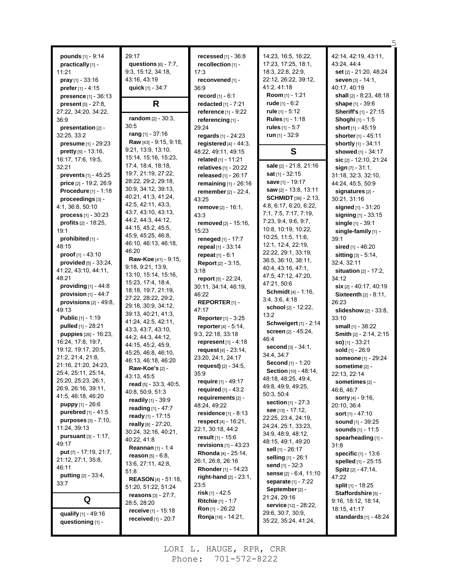| pounds [1] - 9:14                           | 29:17                       | recessed $[1]$ - 36:8         | 14:23, 16:5, 16:22,                              | 42:14, 42:19, 43:11,            |
|---------------------------------------------|-----------------------------|-------------------------------|--------------------------------------------------|---------------------------------|
|                                             | questions $[6] - 7:7$ ,     | recollection [1] -            | 17:23, 17:25, 18:1,                              | 43:24, 44:4                     |
| practically [1] -                           |                             |                               | 18:3, 22:8, 22:9,                                | set [2] - 21:20, 48:24          |
| 11:21                                       | 9:3, 15:12, 34:18,          | 17:3                          | 22:12, 26:22, 39:12,                             | seven [3] - 14:1,               |
| $pray$ [1] - 33:16                          | 43:16, 43:19                | reconvened [1] -              | 41:2, 41:18                                      |                                 |
| prefer [1] - 4:15                           | quick [1] - 34:7            | 36.9                          |                                                  | 40:17, 40:19                    |
| presence [1] - 36:13                        |                             | $record[1] - 6:1$             | Room [1] - 1:21                                  | shall [2] - 8:23, 48:18         |
| <b>present</b> $[5] - 27:8$ ,               | R                           | redacted [1] - 7:21           | rude $[1] - 6:2$                                 | shape [1] - 39:6                |
| 27:22, 34:20, 34:22,                        | random [2] - 30:3,          | reference [1] - 9:22          | rule $[1] - 5.12$<br><b>Rules</b> [1] - 1:18     | Sheriff's [1] - 27:15           |
| 36:9                                        | 30:5                        | referencing [1] -             |                                                  | <b>Shoghi</b> [1] - 1:5         |
| presentation [2] -                          | rang $[1] - 37:16$          | 29:24                         | rules $[1] - 5:7$                                | short [1] - 45:19               |
| 32:25, 33:2                                 | Raw [43] - 9:15, 9:18,      | regards [1] - 24:23           | run $[1]$ - 32:9                                 | shorter [1] - 45:11             |
| presume [1] - 29:23                         | 9:21, 13:9, 13:10,          | registered $[4] - 44:3$ ,     |                                                  | shortly [1] - 34:11             |
| pretty [5] - 13:16,                         | 15:14, 15:16, 15:23,        | 48:22, 49:11, 49:15           | S                                                | showed [1] - 34:17              |
| 16:17, 17:6, 19:5,                          | 17:4, 18:4, 18:18,          | related [1] - 11:21           | sale [2] - 21:8, 21:16                           | sic $[2] - 12:10, 21:24$        |
| 32:21                                       | 19:7, 21:19, 27:22,         | relatives [1] - 20:22         | <b>sat</b> [1] - 32:15                           | $sign [7] - 31:1,$              |
| prevents [1] - 45:25                        | 28:22, 29:2, 29:18,         | released $[1] - 26:17$        |                                                  | 31:18, 32:3, 32:10,             |
| price [2] - 19:2, 26:9                      | 30.9, 34:12, 39:13,         | remaining $[1]$ - 26:16       | <b>save</b> [1] - 19:17<br>saw [2] - 13:8, 13:11 | 44:24, 45:5, 50:9               |
| Procedure [1] - 1:18                        | 40:21, 41:3, 41:24,         | remember [2] - 22:4,          | <b>SCHMIDT</b> [36] - 2:13,                      | signatures [2] -                |
| proceedings [3] -                           | 42:5, 42:11, 43:3,          | 43:25                         | 4:8, 6:17, 6:20, 6:22,                           | 30:21, 31:16                    |
| 4:1, 36:8, 50:10                            | 43:7, 43:10, 43:13,         | remove <sup>[2]</sup> - 16:1, | 7:1, 7:5, 7:17, 7:19,                            | signed [1] - 31:20              |
| $process_{[1]} - 30:23$                     | 44:2, 44:3, 44:12,          | 43:3                          | 7:23, 9:4, 9:6, 9:7,                             | signing [1] - 33:15             |
| profits [2] - 18:25.                        | 44:15, 45:2, 45:5,          | removed [2] - 15:16,          | 10:8, 10:19, 10:22,                              | single [1] - 39:1               |
| 19:1                                        | 45.9, 45.25, 46.8,          | 15:23                         | 10:25, 11:5, 11:6,                               | single-family [1] -             |
| prohibited [1] -                            | 46:10, 46:13, 46:18,        | reneged [1] - 17:7            | 12:1, 12:4, 22:19,                               | 39:1                            |
| 48:15                                       | 46:20                       | repeal [1] - 33:14            | 22:22, 29:1, 33:19,                              | sired [1] - 46:20               |
| proof $[1] - 43:10$                         | Raw-Koe [41] - 9:15,        | repeat $[1] - 6:1$            | 36:5, 36:10, 38:11,                              | sitting [3] - 5:14,             |
| provided $[5] - 33:24$ ,                    | 9:18, 9:21, 13:9,           | <b>Report</b> [2] - 3:15,     | 40:4, 43:16, 47:1,                               | 32:4, 32:11                     |
| 41:22, 43:10, 44:11,                        | 13:10, 15:14, 15:16,        | 3:18                          | 47:5, 47:12, 47:20,                              | <b>situation</b> $[2] - 17:2$ , |
| 48:21                                       | 15:23, 17:4, 18:4,          | report $[5] - 22:24$ ,        | 47:21, 50:6                                      | 34:12                           |
| providing $[1]$ - 44:8                      | 18:18, 19:7, 21:19,         | 30:11, 34:14, 46:19,          | Schmidt [4] - 1:16,                              | six [2] - 40:17, 40:19          |
| provision $[1]$ - 44:7                      | 27:22, 28:22, 29:2,         | 46:22                         | 3.4, 3.6, 4.18                                   | Sixteenth [2] - 8:11,           |
| provisions $[2] - 49.8$ ,                   | 29:18, 30:9, 34:12,         | REPORTER <sub>[1]</sub> -     | school [2] - 12:22,                              | 26:23                           |
| 49:13                                       | 39:13, 40:21, 41:3,         | 47:17                         | 13:2                                             | slideshow $[2] - 33:8$ ,        |
| <b>Public</b> [1] - 1:19                    | 41:24, 42:5, 42:11,         | Reporter [1] - 3:25           | Schweigert [1] - 2:14                            | 33:10                           |
| pulled [1] - 28:21                          | 43:3, 43:7, 43:10,          | reporter [4] - 5:14,          | <b>screen</b> $[2] - 45.24$ ,                    | small [1] - 38:22               |
| puppies [26] - 16:23,                       | 44:2, 44:3, 44:12,          | 9:3, 22:18, 33:18             | 46:4                                             | Smith [2] - 2:14, 2:15          |
| 16:24, 17:8, 19:7,                          | 44:15, 45:2, 45:9,          | represent $[1] - 4.18$        | second [3] - 34:1,                               | so) $[1] - 33:21$               |
| 19:12, 19:17, 20:5,                         | 45:25, 46:8, 46:10,         | request $[4] - 23:14$ ,       | 34:4, 34:7                                       | sold [1] - 26:9                 |
| 21:2, 21:4, 21:8,                           | 46:13, 46:18, 46:20         | 23:20, 24:1, 24:17            | Second [1] - 1:20                                | someone [1] - 29:24             |
| 21:16, 21:20, 24:23,<br>25:4, 25:11, 25:14, | Raw-Koe's [2] -             | request) [2] - 34:5,          | <b>Section</b> $[10] - 48.14$ ,                  | sometime [2] -                  |
| 25:20, 25:23, 26:1,                         | 43:13, 45:5                 | 35:9                          | 48:18, 48:25, 49:4,                              | 22:13, 22:14                    |
| 26:9, 26:16, 39:11,                         | read [5] - 33:3, 40:5,      | require [1] - 49:17           | 49.8, 49.9, 49.25,                               | sometimes [2] -                 |
| 41:5, 46:18, 46:20                          | 40:8, 50:9, 51:3            | required $[1] - 43:2$         | 50:3, 50:4                                       | 46.6, 46.7                      |
| <b>puppy</b> $[1] - 26.6$                   | <b>readily</b> $[1]$ - 39:9 | requirements [2] -            | section $[1] - 27:3$                             | <b>sorry</b> $[4]$ - 9:16,      |
| purebred [1] - 41:5                         | reading [1] - 47:7          | 48:24, 49:22                  | see $[13] - 17:12$ ,                             | 20:10, 36:4                     |
| <b>purposes</b> [3] - 7:10,                 | ready $[1] - 17:15$         | residence $[1]$ - 8:13        | 22:25, 23:4, 24:19,                              | <b>sort</b> $[1] - 47:10$       |
| 11:24, 39:13                                | really [6] - 27:20,         | respect [4] - 16:21,          | 24:24, 25:1, 33:23,                              | sound [1] - 39:25               |
| pursuant [3] - 1:17,                        | 30:24, 32:16, 40:21,        | 22:1, 30:18, 44:2             | 34:9, 48:9, 48:12,                               | sounds [1] - 11:5               |
| 49:17                                       | 40:22, 41:8                 | <b>result</b> [1] - 15:6      | 48:15, 49:1, 49:20                               | spearheading [1] -              |
| put [7] - 17:19, 21:7,                      | <b>Reannan</b> [1] - 1:4    | revisions $[1] - 43:23$       | sell [1] - 26:17                                 | 31:8                            |
| 21:12, 27:1, 35:8,                          | $reason_{[5]} - 6.8$        | <b>Rhonda</b> [4] - 25:14,    | selling [1] - 26:1                               | specific [1] - 13:6             |
| 46:11                                       | 13:6, 27:11, 42:8,          | 26:1, 26:8, 26:16             | send [1] - 32:3                                  | spelled [1] - 25:15             |
| <b>putting</b> $[2] - 33.4$ ,               | 51:8                        | Rhonder [1] - 14:23           | sense [2] - 6:4, 11:10                           | Spitz [2] - 47:14,              |
| 33:7                                        | <b>REASON</b> [4] - 51:18,  | right-hand $[2] - 23:1$ ,     | <b>separate</b> [1] - 7:22                       | 47:22                           |
|                                             | 51:20, 51:22, 51:24         | 23:5                          | September <sub>[2]</sub> -                       | split [1] - 18:25               |
| Q                                           | reasons $[3] - 27:7$ ,      | risk $[1]$ - 42:5             | 21:24, 29:16                                     | Staffordshire [5] -             |
|                                             | 28:5, 28:20                 | <b>Ritchie</b> [1] - 1:7      | <b>service</b> [12] - 28:22,                     | 9:16, 18:12, 18:14,             |
| qualify [1] - 49:16                         | receive [1] - 15:18         | <b>Ron</b> [1] - 26:22        | 29:6, 30:7, 30:9,                                | 18:15, 41:17                    |
| questioning [1] -                           | received $[1]$ - 20:7       | Ronja [16] - 14:21,           | 35:22, 35:24, 41:24,                             | <b>standards</b> $[1] - 48:24$  |
|                                             |                             |                               |                                                  |                                 |